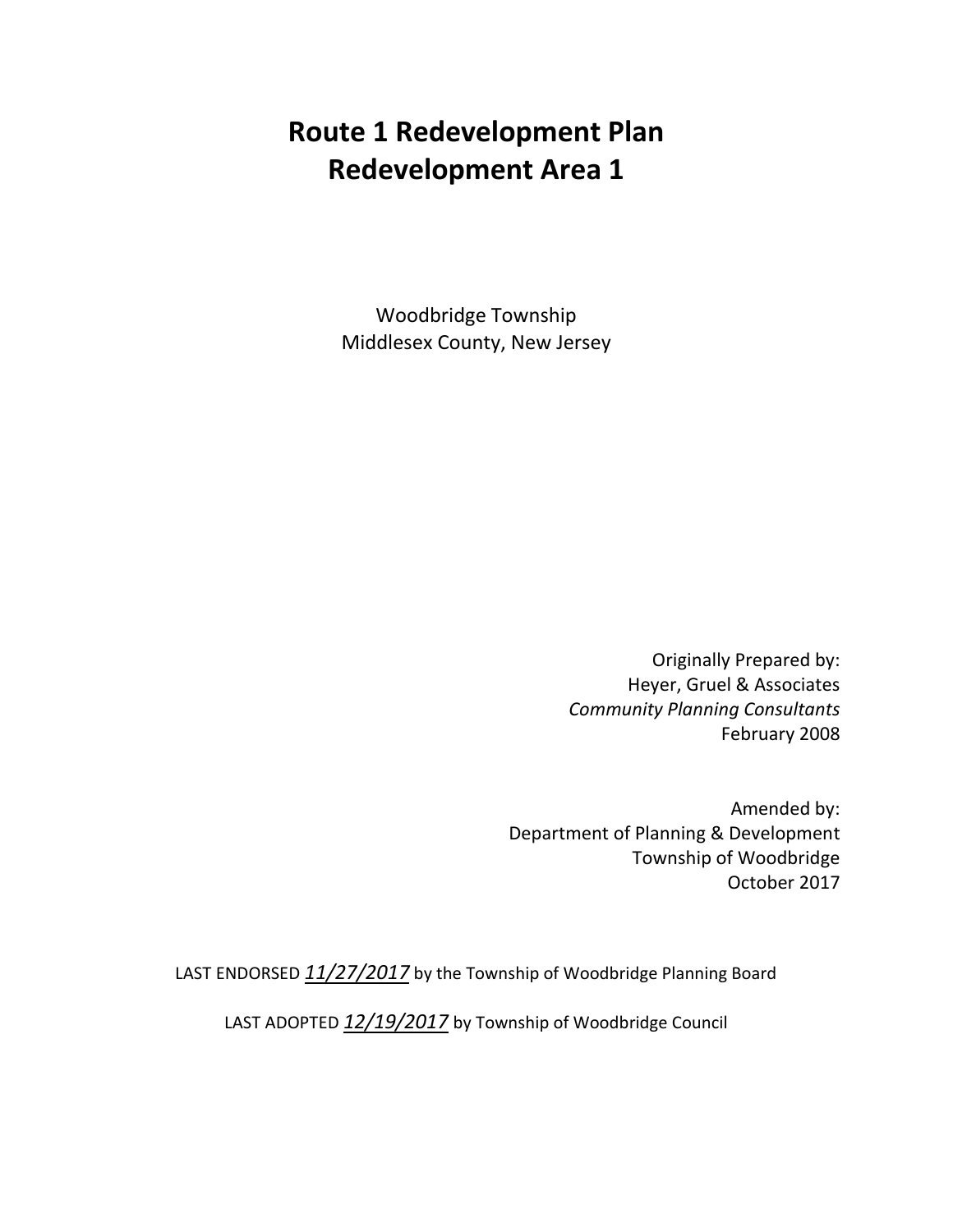# **Route 1 Redevelopment Plan Redevelopment Area 1**

Woodbridge Township Middlesex County, New Jersey

> Originally Prepared by: Heyer, Gruel & Associates *Community Planning Consultants* February 2008

Amended by: Department of Planning & Development Township of Woodbridge October 2017

LAST ENDORSED *11/27/2017* by the Township of Woodbridge Planning Board

LAST ADOPTED *12/19/2017* by Township of Woodbridge Council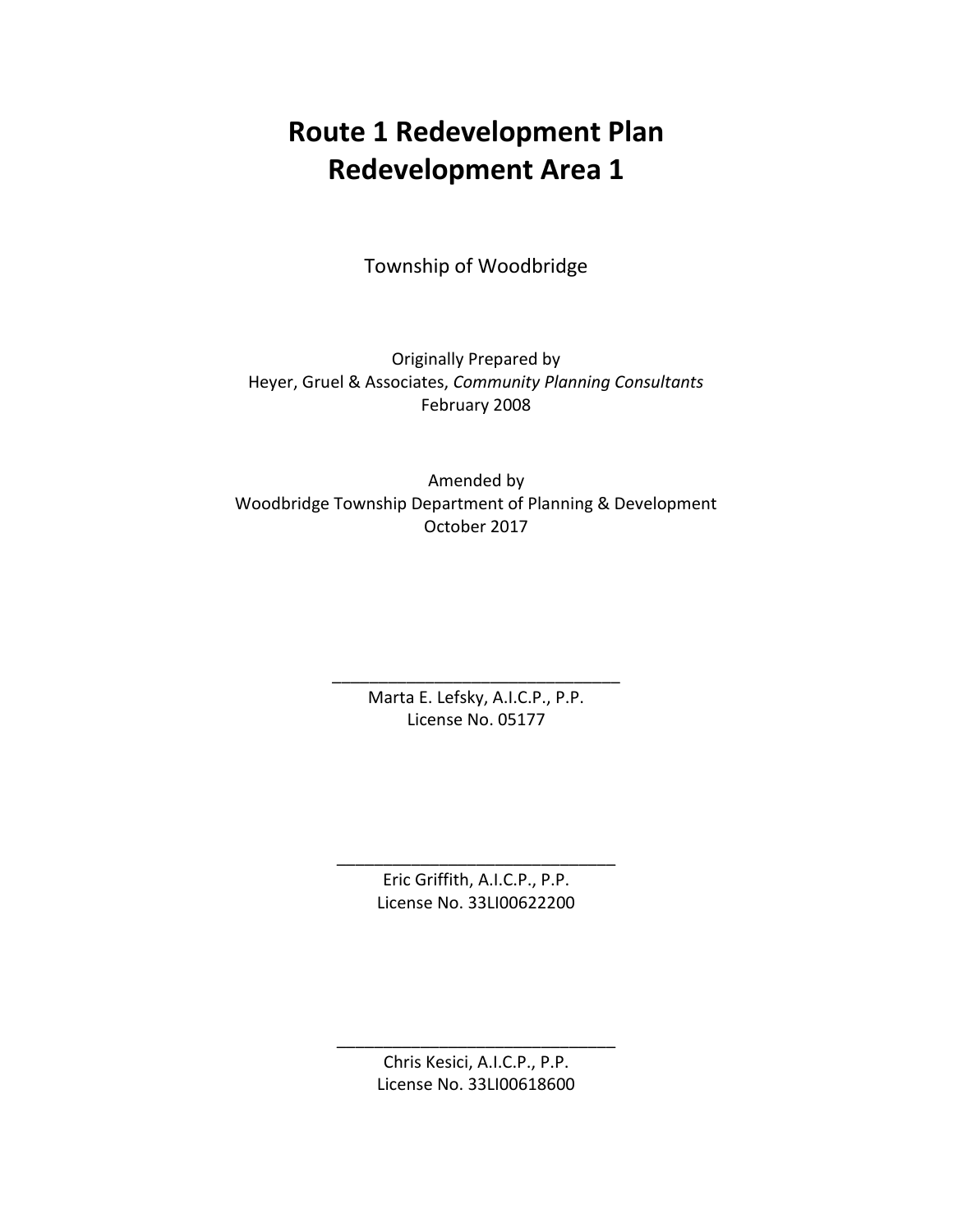# **Route 1 Redevelopment Plan Redevelopment Area 1**

Township of Woodbridge

Originally Prepared by Heyer, Gruel & Associates, *Community Planning Consultants* February 2008

Amended by Woodbridge Township Department of Planning & Development October 2017

> \_\_\_\_\_\_\_\_\_\_\_\_\_\_\_\_\_\_\_\_\_\_\_\_\_\_\_\_\_\_\_ Marta E. Lefsky, A.I.C.P., P.P. License No. 05177

> > Eric Griffith, A.I.C.P., P.P. License No. 33LI00622200

\_\_\_\_\_\_\_\_\_\_\_\_\_\_\_\_\_\_\_\_\_\_\_\_\_\_\_\_\_\_

Chris Kesici, A.I.C.P., P.P. License No. 33LI00618600

\_\_\_\_\_\_\_\_\_\_\_\_\_\_\_\_\_\_\_\_\_\_\_\_\_\_\_\_\_\_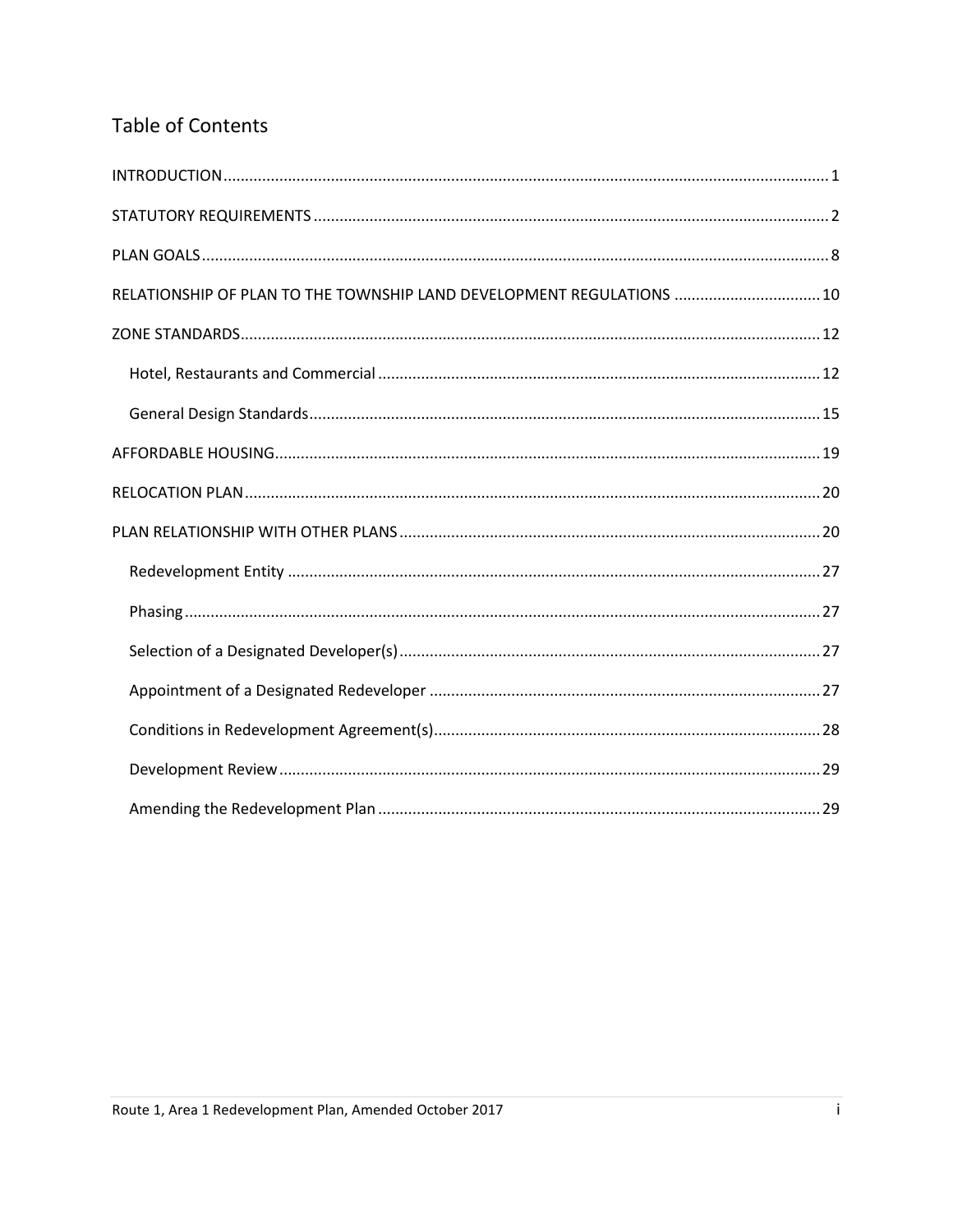# **Table of Contents**

| RELATIONSHIP OF PLAN TO THE TOWNSHIP LAND DEVELOPMENT REGULATIONS  10 |  |
|-----------------------------------------------------------------------|--|
|                                                                       |  |
|                                                                       |  |
|                                                                       |  |
|                                                                       |  |
|                                                                       |  |
|                                                                       |  |
|                                                                       |  |
|                                                                       |  |
|                                                                       |  |
|                                                                       |  |
|                                                                       |  |
|                                                                       |  |
|                                                                       |  |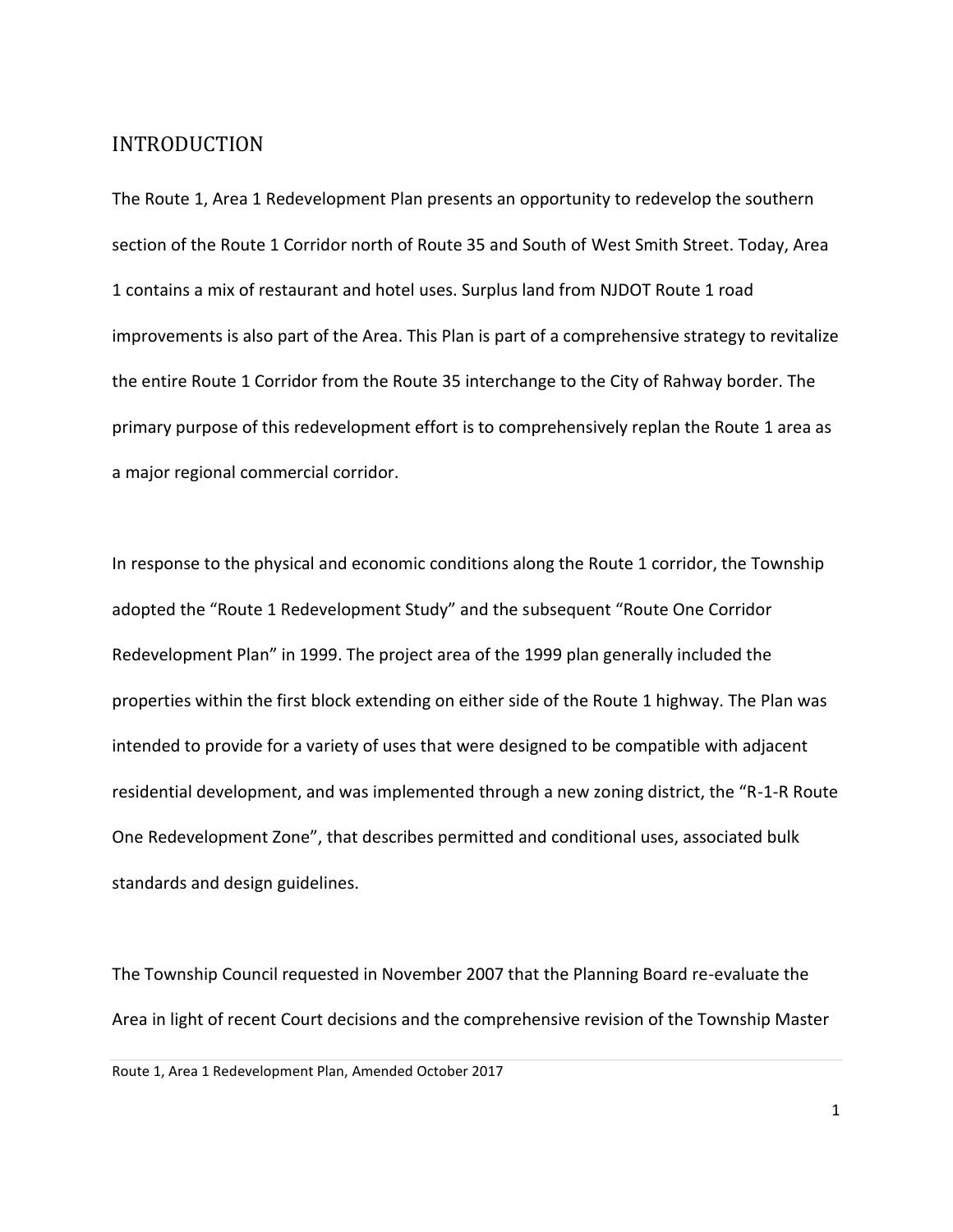#### <span id="page-3-0"></span>INTRODUCTION

The Route 1, Area 1 Redevelopment Plan presents an opportunity to redevelop the southern section of the Route 1 Corridor north of Route 35 and South of West Smith Street. Today, Area 1 contains a mix of restaurant and hotel uses. Surplus land from NJDOT Route 1 road improvements is also part of the Area. This Plan is part of a comprehensive strategy to revitalize the entire Route 1 Corridor from the Route 35 interchange to the City of Rahway border. The primary purpose of this redevelopment effort is to comprehensively replan the Route 1 area as a major regional commercial corridor.

In response to the physical and economic conditions along the Route 1 corridor, the Township adopted the "Route 1 Redevelopment Study" and the subsequent "Route One Corridor Redevelopment Plan" in 1999. The project area of the 1999 plan generally included the properties within the first block extending on either side of the Route 1 highway. The Plan was intended to provide for a variety of uses that were designed to be compatible with adjacent residential development, and was implemented through a new zoning district, the "R-1-R Route One Redevelopment Zone", that describes permitted and conditional uses, associated bulk standards and design guidelines.

The Township Council requested in November 2007 that the Planning Board re-evaluate the Area in light of recent Court decisions and the comprehensive revision of the Township Master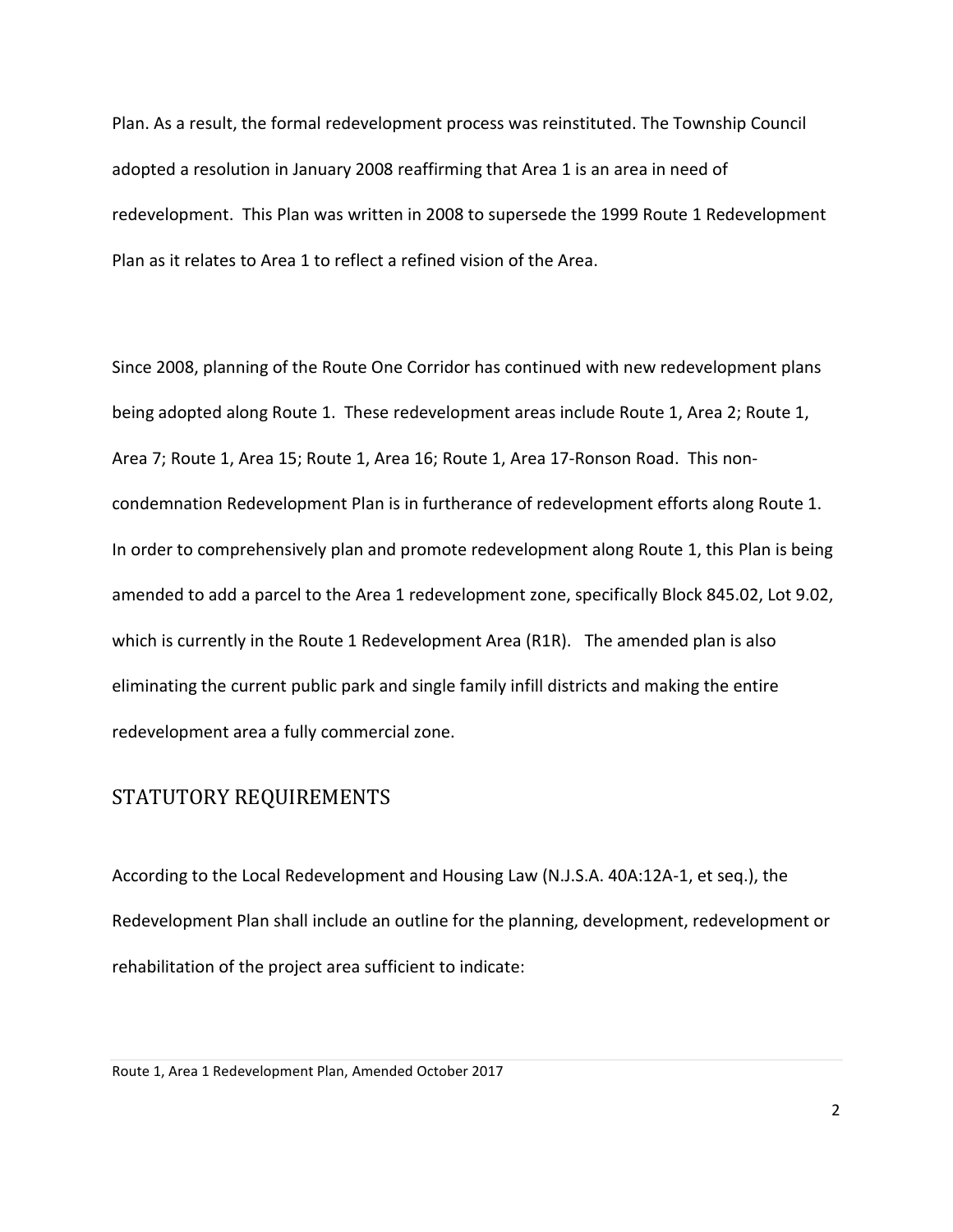Plan. As a result, the formal redevelopment process was reinstituted. The Township Council adopted a resolution in January 2008 reaffirming that Area 1 is an area in need of redevelopment. This Plan was written in 2008 to supersede the 1999 Route 1 Redevelopment Plan as it relates to Area 1 to reflect a refined vision of the Area.

Since 2008, planning of the Route One Corridor has continued with new redevelopment plans being adopted along Route 1. These redevelopment areas include Route 1, Area 2; Route 1, Area 7; Route 1, Area 15; Route 1, Area 16; Route 1, Area 17-Ronson Road. This noncondemnation Redevelopment Plan is in furtherance of redevelopment efforts along Route 1. In order to comprehensively plan and promote redevelopment along Route 1, this Plan is being amended to add a parcel to the Area 1 redevelopment zone, specifically Block 845.02, Lot 9.02, which is currently in the Route 1 Redevelopment Area (R1R). The amended plan is also eliminating the current public park and single family infill districts and making the entire redevelopment area a fully commercial zone.

# <span id="page-4-0"></span>STATUTORY REQUIREMENTS

According to the Local Redevelopment and Housing Law (N.J.S.A. 40A:12A-1, et seq.), the Redevelopment Plan shall include an outline for the planning, development, redevelopment or rehabilitation of the project area sufficient to indicate:

Route 1, Area 1 Redevelopment Plan, Amended October 2017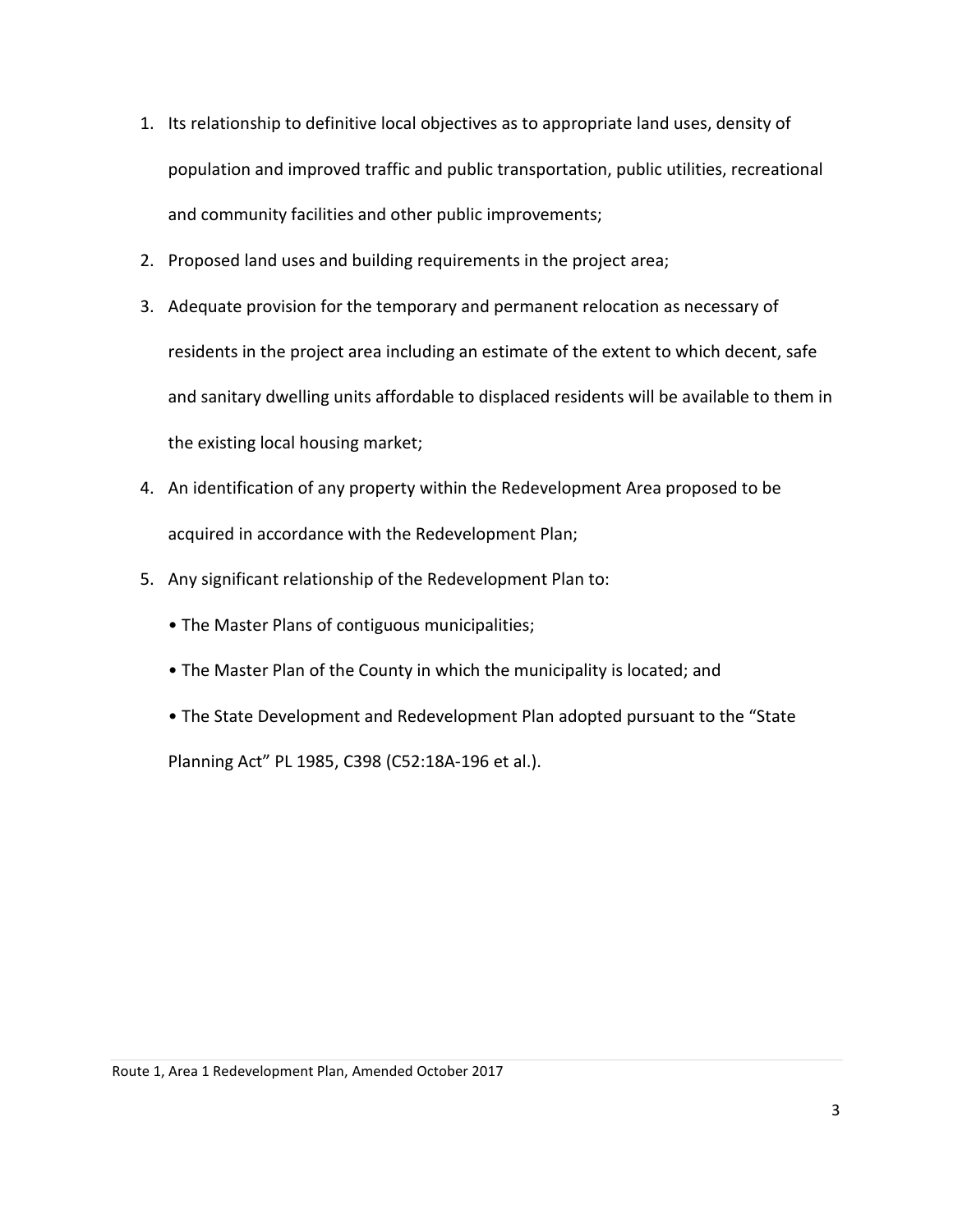- 1. Its relationship to definitive local objectives as to appropriate land uses, density of population and improved traffic and public transportation, public utilities, recreational and community facilities and other public improvements;
- 2. Proposed land uses and building requirements in the project area;
- 3. Adequate provision for the temporary and permanent relocation as necessary of residents in the project area including an estimate of the extent to which decent, safe and sanitary dwelling units affordable to displaced residents will be available to them in the existing local housing market;
- 4. An identification of any property within the Redevelopment Area proposed to be acquired in accordance with the Redevelopment Plan;
- 5. Any significant relationship of the Redevelopment Plan to:
	- The Master Plans of contiguous municipalities;
	- The Master Plan of the County in which the municipality is located; and
	- The State Development and Redevelopment Plan adopted pursuant to the "State

Planning Act" PL 1985, C398 (C52:18A-196 et al.).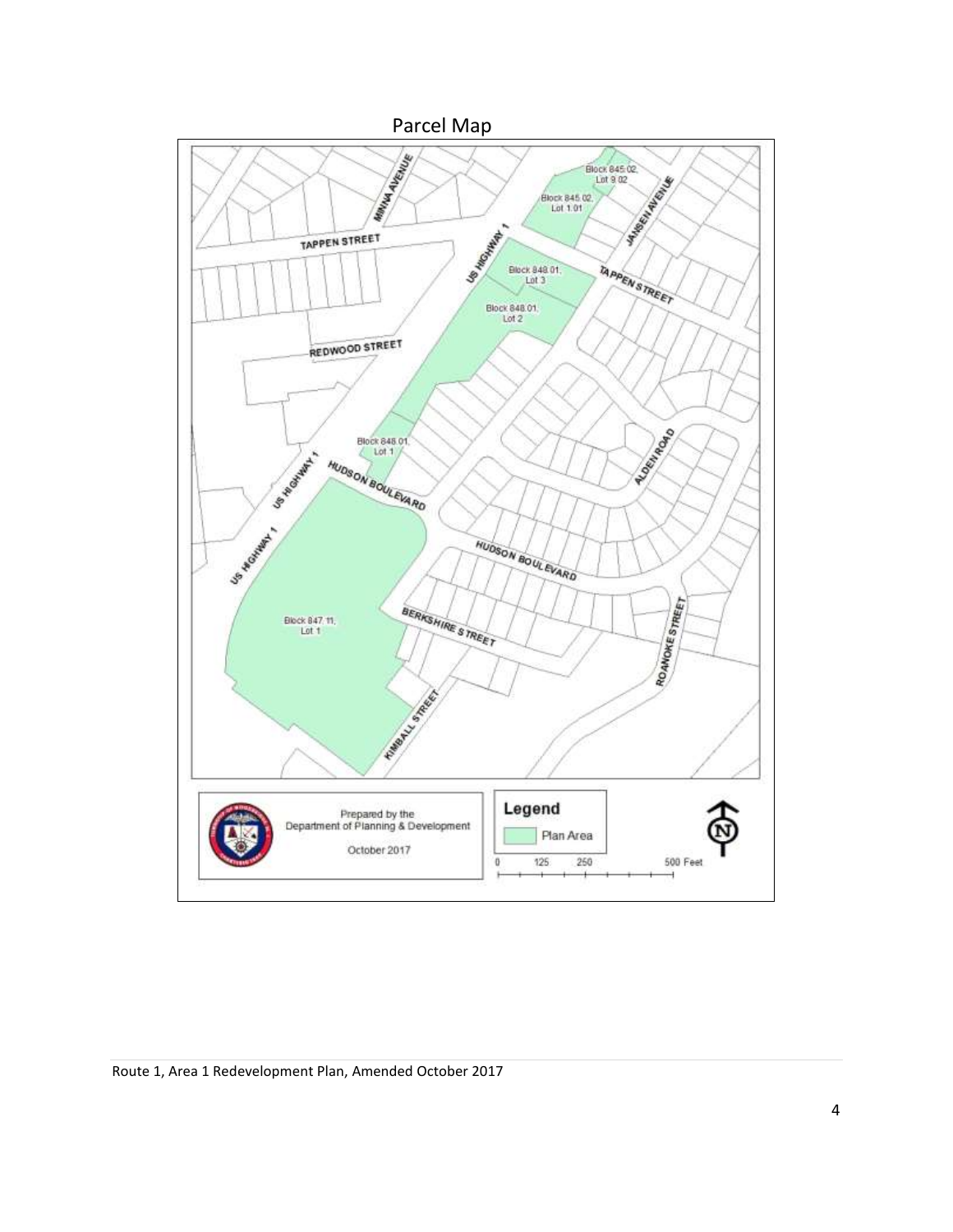

Route 1, Area 1 Redevelopment Plan, Amended October 2017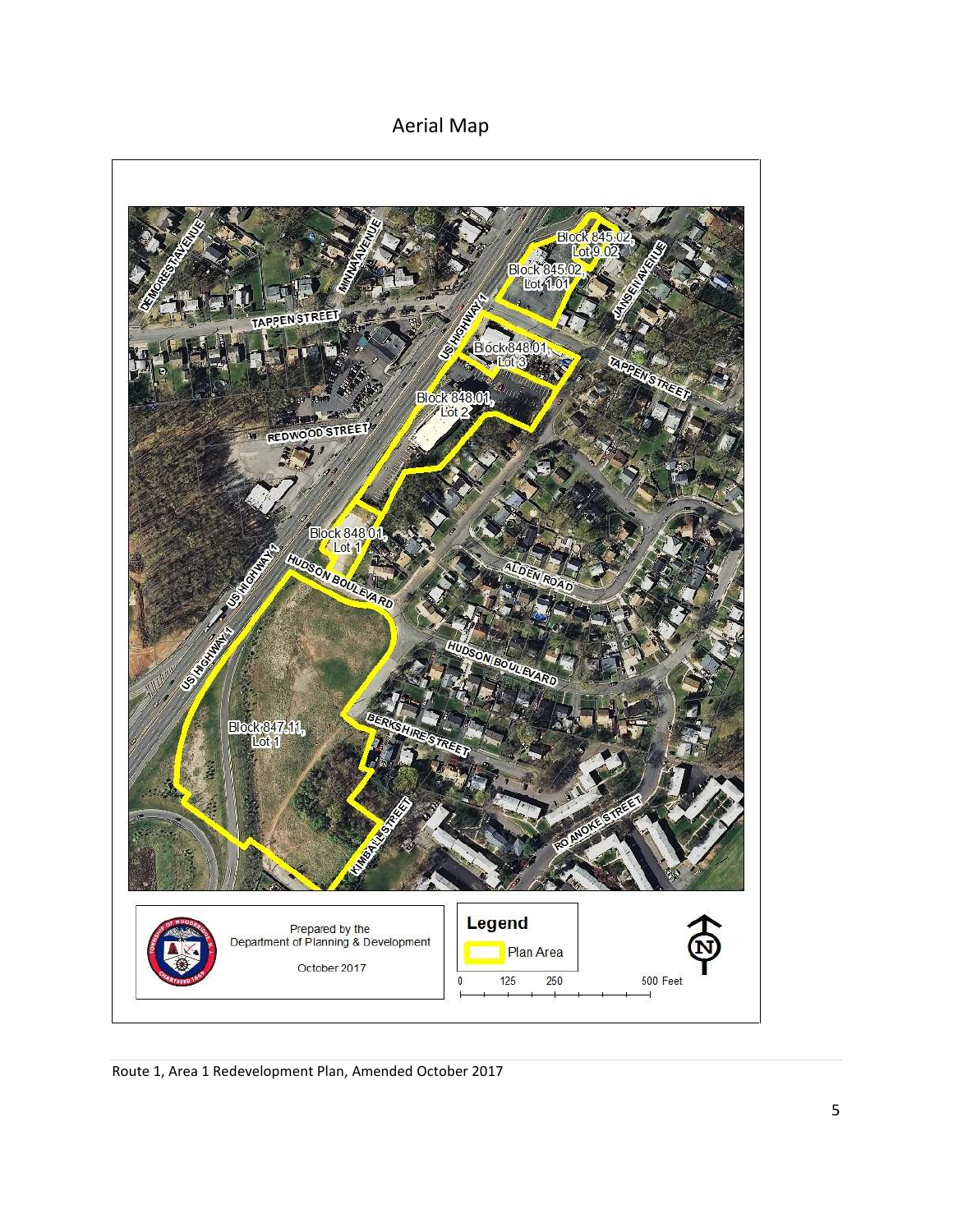Aerial Map



Route 1, Area 1 Redevelopment Plan, Amended October 2017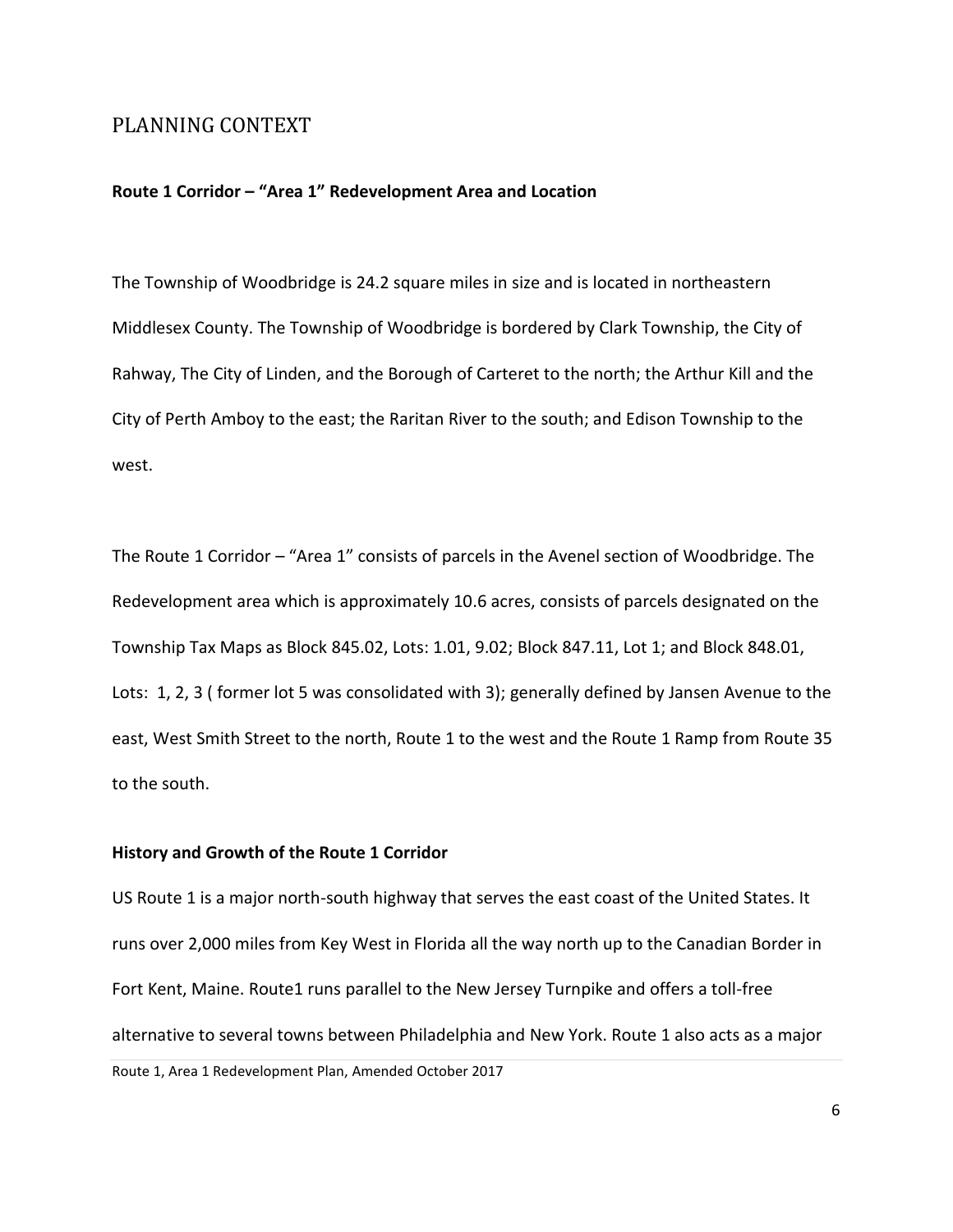#### PLANNING CONTEXT

#### **Route 1 Corridor – "Area 1" Redevelopment Area and Location**

The Township of Woodbridge is 24.2 square miles in size and is located in northeastern Middlesex County. The Township of Woodbridge is bordered by Clark Township, the City of Rahway, The City of Linden, and the Borough of Carteret to the north; the Arthur Kill and the City of Perth Amboy to the east; the Raritan River to the south; and Edison Township to the west.

The Route 1 Corridor – "Area 1" consists of parcels in the Avenel section of Woodbridge. The Redevelopment area which is approximately 10.6 acres, consists of parcels designated on the Township Tax Maps as Block 845.02, Lots: 1.01, 9.02; Block 847.11, Lot 1; and Block 848.01, Lots: 1, 2, 3 ( former lot 5 was consolidated with 3); generally defined by Jansen Avenue to the east, West Smith Street to the north, Route 1 to the west and the Route 1 Ramp from Route 35 to the south.

#### **History and Growth of the Route 1 Corridor**

US Route 1 is a major north-south highway that serves the east coast of the United States. It runs over 2,000 miles from Key West in Florida all the way north up to the Canadian Border in Fort Kent, Maine. Route1 runs parallel to the New Jersey Turnpike and offers a toll-free alternative to several towns between Philadelphia and New York. Route 1 also acts as a major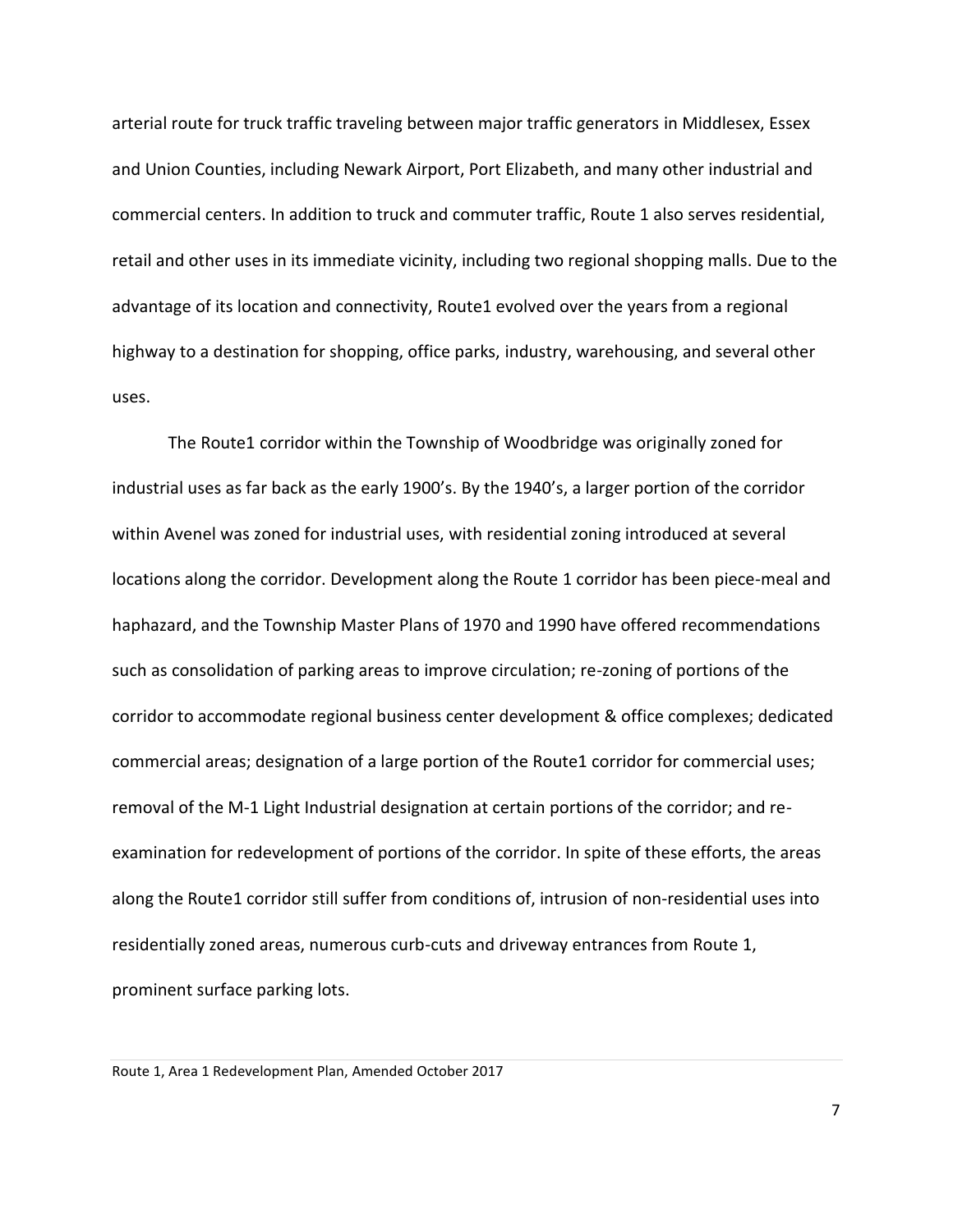arterial route for truck traffic traveling between major traffic generators in Middlesex, Essex and Union Counties, including Newark Airport, Port Elizabeth, and many other industrial and commercial centers. In addition to truck and commuter traffic, Route 1 also serves residential, retail and other uses in its immediate vicinity, including two regional shopping malls. Due to the advantage of its location and connectivity, Route1 evolved over the years from a regional highway to a destination for shopping, office parks, industry, warehousing, and several other uses.

The Route1 corridor within the Township of Woodbridge was originally zoned for industrial uses as far back as the early 1900's. By the 1940's, a larger portion of the corridor within Avenel was zoned for industrial uses, with residential zoning introduced at several locations along the corridor. Development along the Route 1 corridor has been piece-meal and haphazard, and the Township Master Plans of 1970 and 1990 have offered recommendations such as consolidation of parking areas to improve circulation; re-zoning of portions of the corridor to accommodate regional business center development & office complexes; dedicated commercial areas; designation of a large portion of the Route1 corridor for commercial uses; removal of the M-1 Light Industrial designation at certain portions of the corridor; and reexamination for redevelopment of portions of the corridor. In spite of these efforts, the areas along the Route1 corridor still suffer from conditions of, intrusion of non-residential uses into residentially zoned areas, numerous curb-cuts and driveway entrances from Route 1, prominent surface parking lots.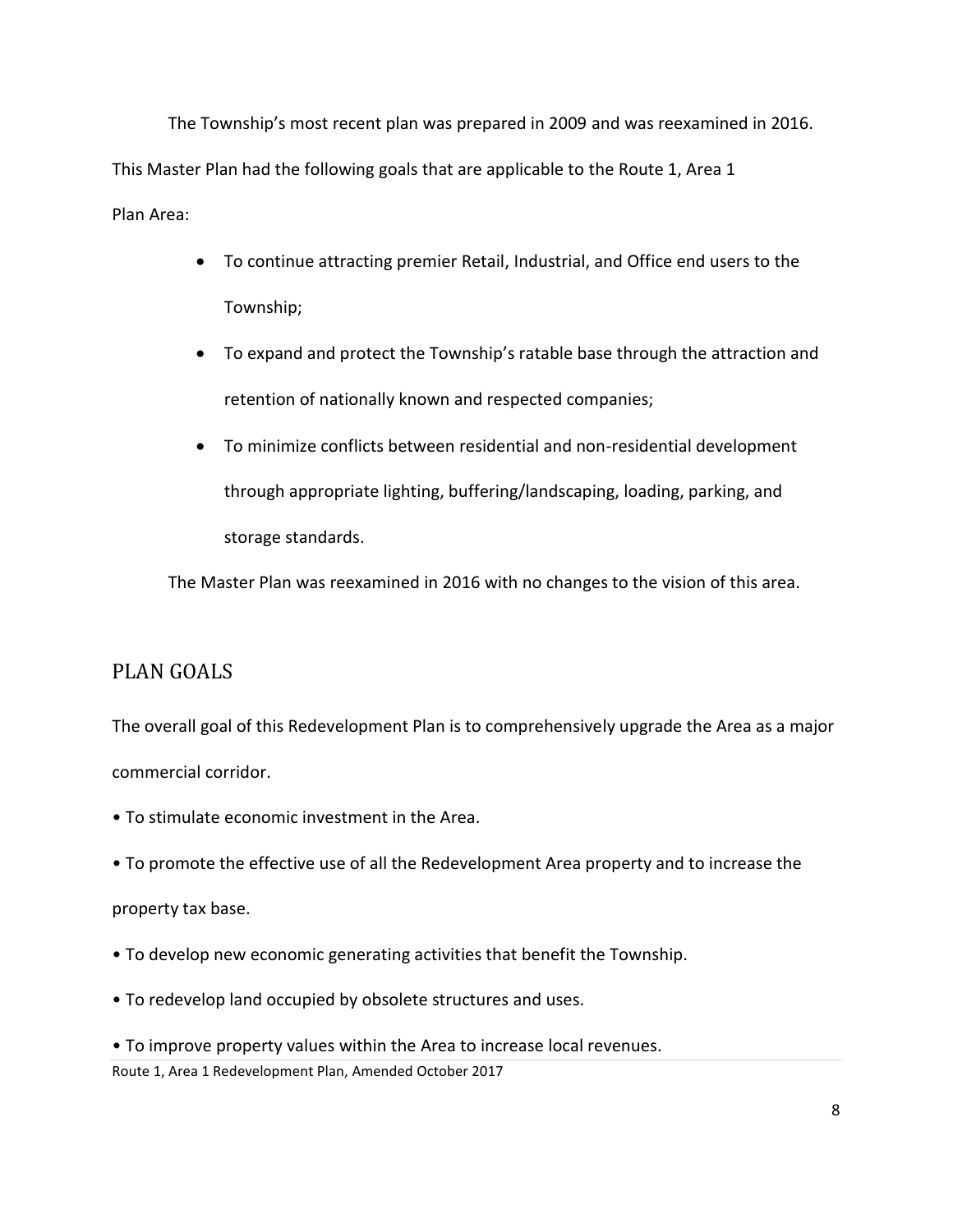The Township's most recent plan was prepared in 2009 and was reexamined in 2016. This Master Plan had the following goals that are applicable to the Route 1, Area 1

Plan Area:

- To continue attracting premier Retail, Industrial, and Office end users to the Township;
- To expand and protect the Township's ratable base through the attraction and retention of nationally known and respected companies;
- To minimize conflicts between residential and non-residential development through appropriate lighting, buffering/landscaping, loading, parking, and storage standards.

The Master Plan was reexamined in 2016 with no changes to the vision of this area.

# <span id="page-10-0"></span>PLAN GOALS

The overall goal of this Redevelopment Plan is to comprehensively upgrade the Area as a major commercial corridor.

- To stimulate economic investment in the Area.
- To promote the effective use of all the Redevelopment Area property and to increase the property tax base.
- To develop new economic generating activities that benefit the Township.
- To redevelop land occupied by obsolete structures and uses.
- To improve property values within the Area to increase local revenues.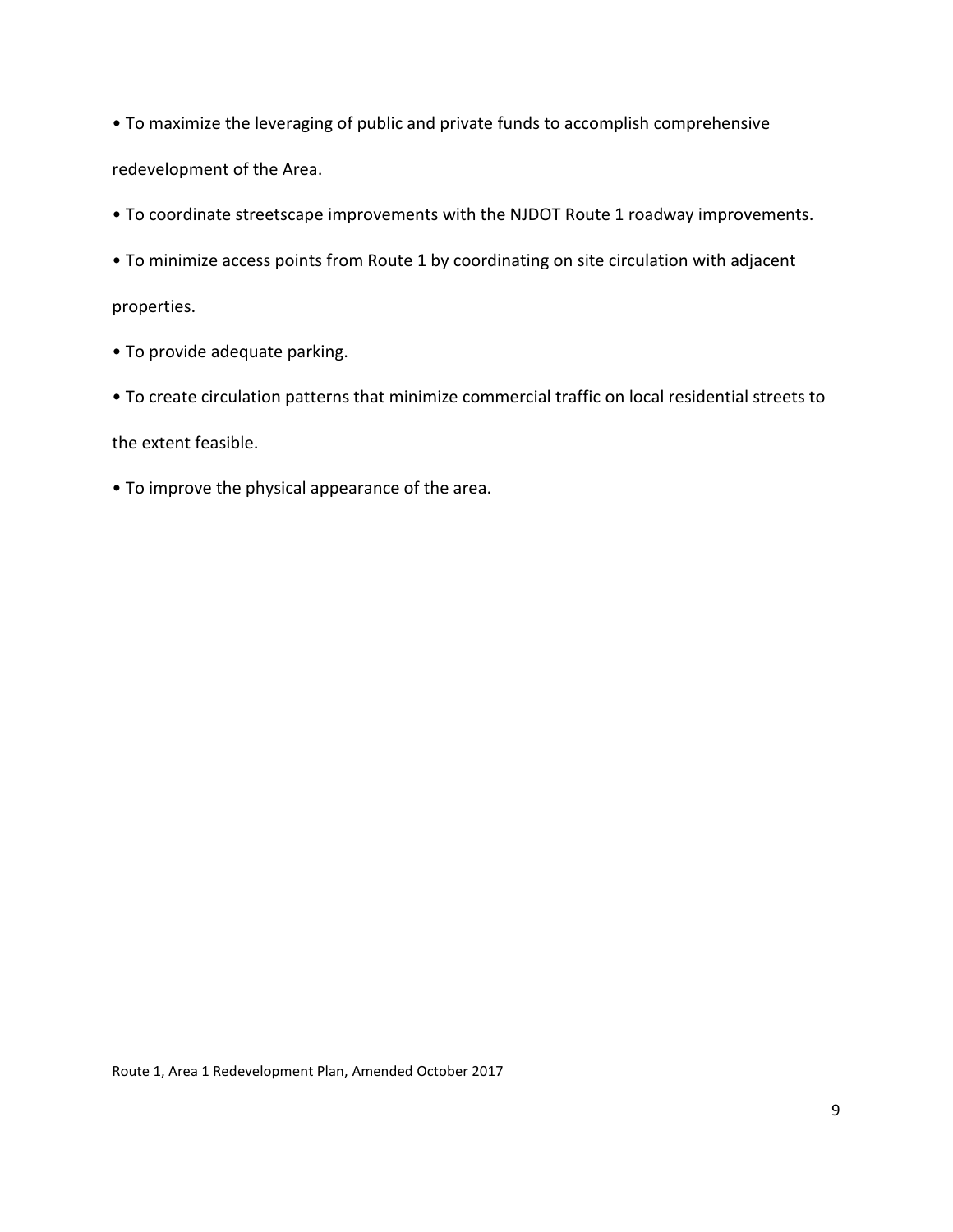• To maximize the leveraging of public and private funds to accomplish comprehensive redevelopment of the Area.

- To coordinate streetscape improvements with the NJDOT Route 1 roadway improvements.
- To minimize access points from Route 1 by coordinating on site circulation with adjacent

properties.

- To provide adequate parking.
- To create circulation patterns that minimize commercial traffic on local residential streets to

the extent feasible.

• To improve the physical appearance of the area.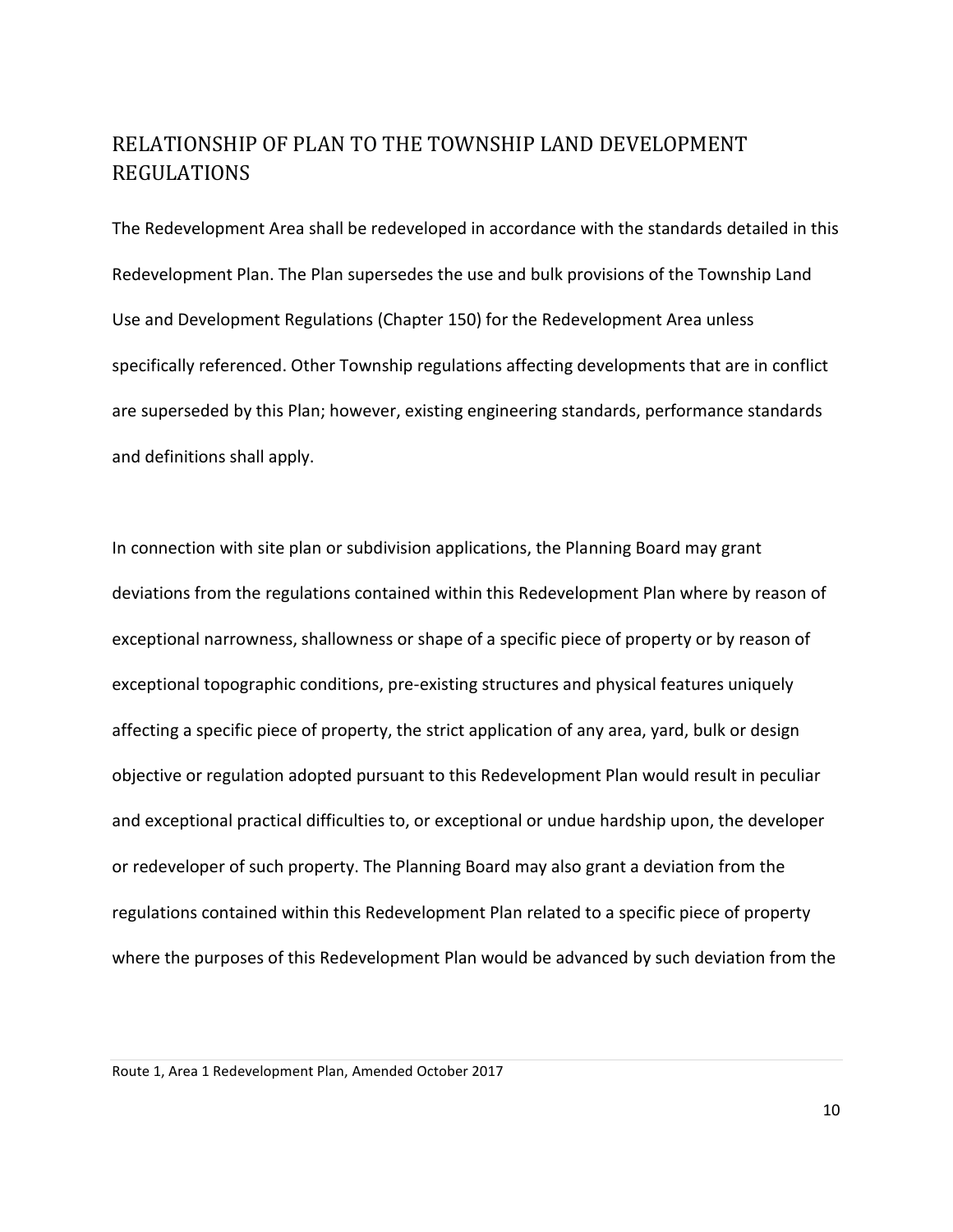# <span id="page-12-0"></span>RELATIONSHIP OF PLAN TO THE TOWNSHIP LAND DEVELOPMENT REGULATIONS

The Redevelopment Area shall be redeveloped in accordance with the standards detailed in this Redevelopment Plan. The Plan supersedes the use and bulk provisions of the Township Land Use and Development Regulations (Chapter 150) for the Redevelopment Area unless specifically referenced. Other Township regulations affecting developments that are in conflict are superseded by this Plan; however, existing engineering standards, performance standards and definitions shall apply.

In connection with site plan or subdivision applications, the Planning Board may grant deviations from the regulations contained within this Redevelopment Plan where by reason of exceptional narrowness, shallowness or shape of a specific piece of property or by reason of exceptional topographic conditions, pre-existing structures and physical features uniquely affecting a specific piece of property, the strict application of any area, yard, bulk or design objective or regulation adopted pursuant to this Redevelopment Plan would result in peculiar and exceptional practical difficulties to, or exceptional or undue hardship upon, the developer or redeveloper of such property. The Planning Board may also grant a deviation from the regulations contained within this Redevelopment Plan related to a specific piece of property where the purposes of this Redevelopment Plan would be advanced by such deviation from the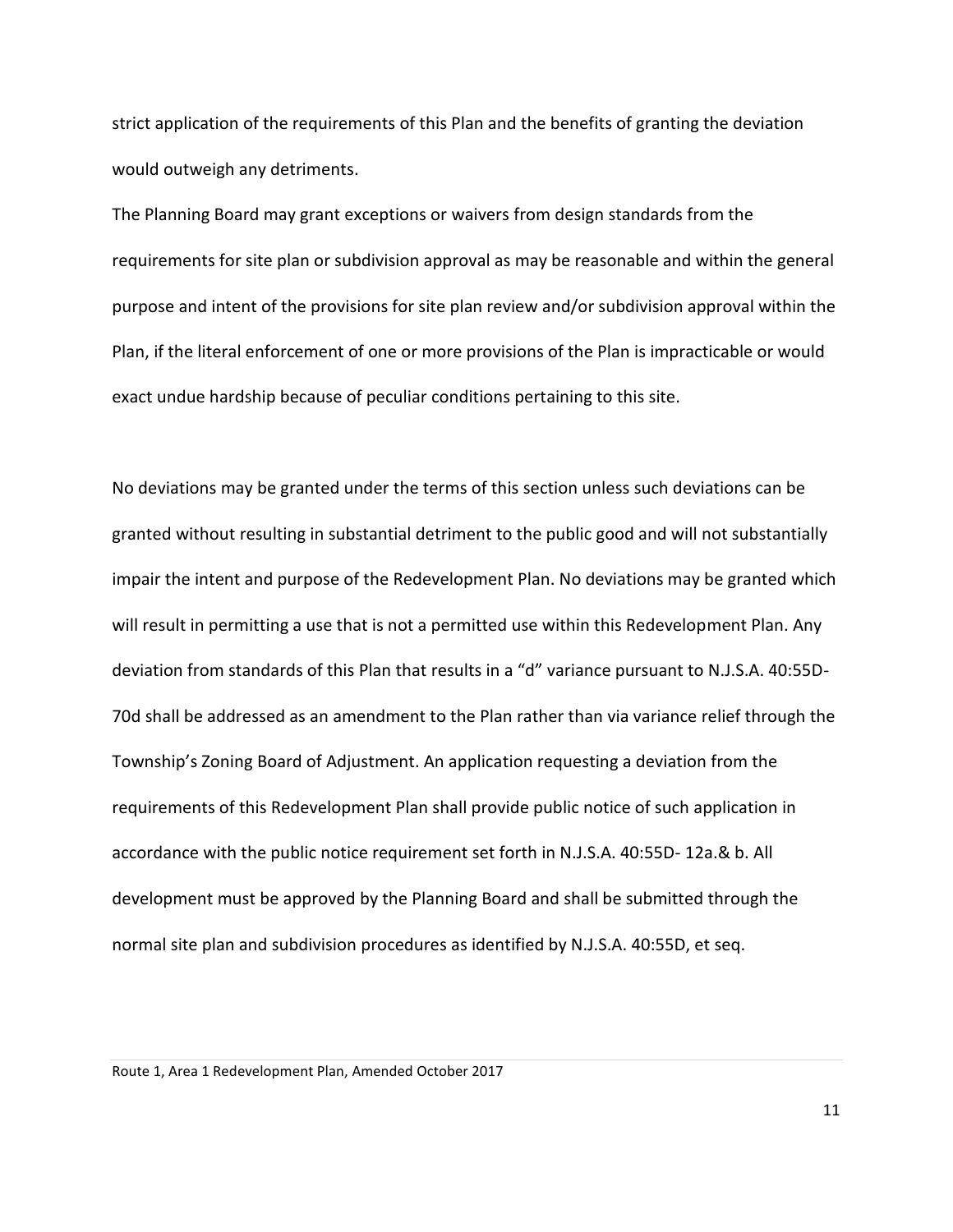strict application of the requirements of this Plan and the benefits of granting the deviation would outweigh any detriments.

The Planning Board may grant exceptions or waivers from design standards from the requirements for site plan or subdivision approval as may be reasonable and within the general purpose and intent of the provisions for site plan review and/or subdivision approval within the Plan, if the literal enforcement of one or more provisions of the Plan is impracticable or would exact undue hardship because of peculiar conditions pertaining to this site.

No deviations may be granted under the terms of this section unless such deviations can be granted without resulting in substantial detriment to the public good and will not substantially impair the intent and purpose of the Redevelopment Plan. No deviations may be granted which will result in permitting a use that is not a permitted use within this Redevelopment Plan. Any deviation from standards of this Plan that results in a "d" variance pursuant to N.J.S.A. 40:55D-70d shall be addressed as an amendment to the Plan rather than via variance relief through the Township's Zoning Board of Adjustment. An application requesting a deviation from the requirements of this Redevelopment Plan shall provide public notice of such application in accordance with the public notice requirement set forth in N.J.S.A. 40:55D- 12a.& b. All development must be approved by the Planning Board and shall be submitted through the normal site plan and subdivision procedures as identified by N.J.S.A. 40:55D, et seq.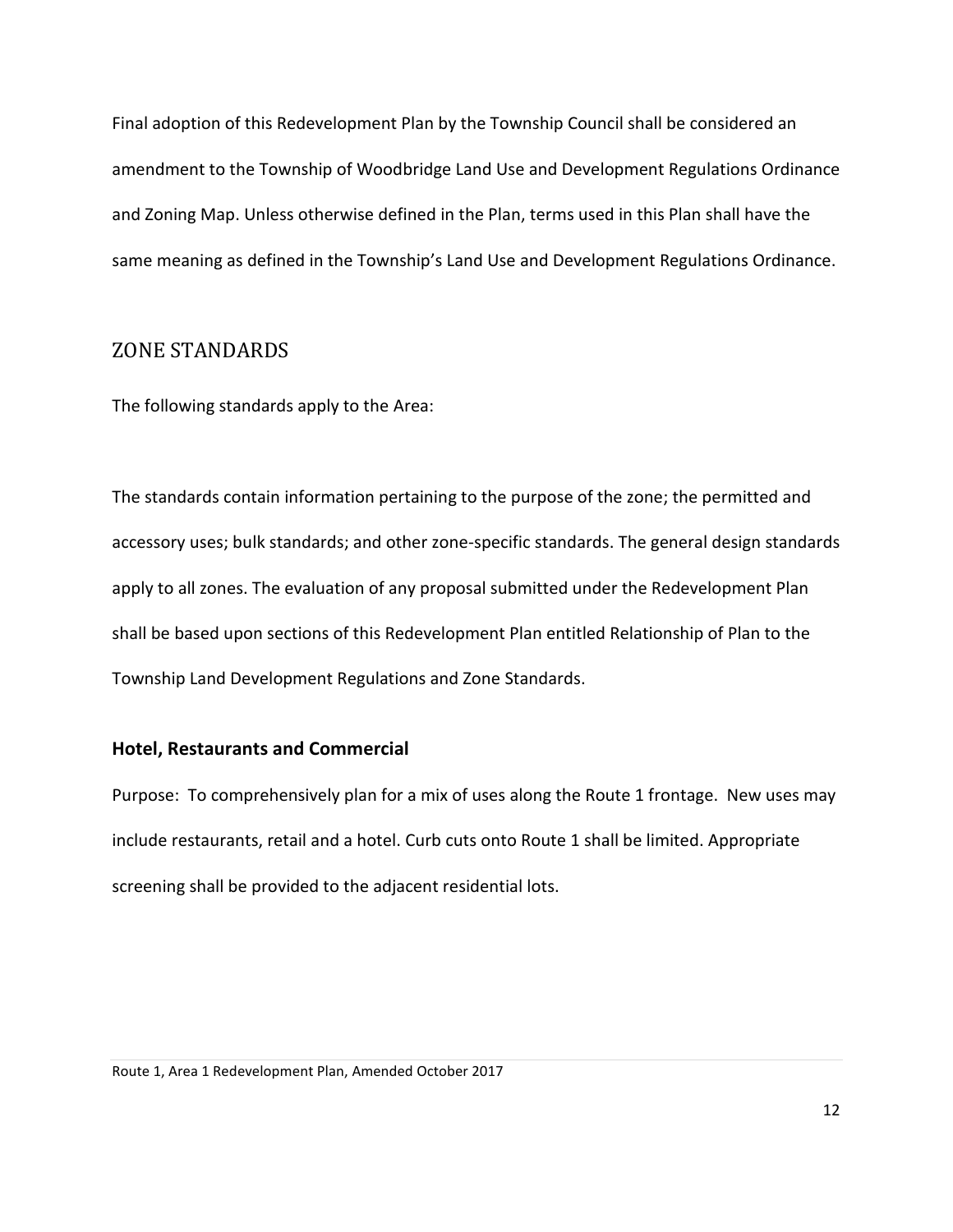Final adoption of this Redevelopment Plan by the Township Council shall be considered an amendment to the Township of Woodbridge Land Use and Development Regulations Ordinance and Zoning Map. Unless otherwise defined in the Plan, terms used in this Plan shall have the same meaning as defined in the Township's Land Use and Development Regulations Ordinance.

#### <span id="page-14-0"></span>ZONE STANDARDS

The following standards apply to the Area:

The standards contain information pertaining to the purpose of the zone; the permitted and accessory uses; bulk standards; and other zone-specific standards. The general design standards apply to all zones. The evaluation of any proposal submitted under the Redevelopment Plan shall be based upon sections of this Redevelopment Plan entitled Relationship of Plan to the Township Land Development Regulations and Zone Standards.

#### <span id="page-14-1"></span>**Hotel, Restaurants and Commercial**

Purpose: To comprehensively plan for a mix of uses along the Route 1 frontage. New uses may include restaurants, retail and a hotel. Curb cuts onto Route 1 shall be limited. Appropriate screening shall be provided to the adjacent residential lots.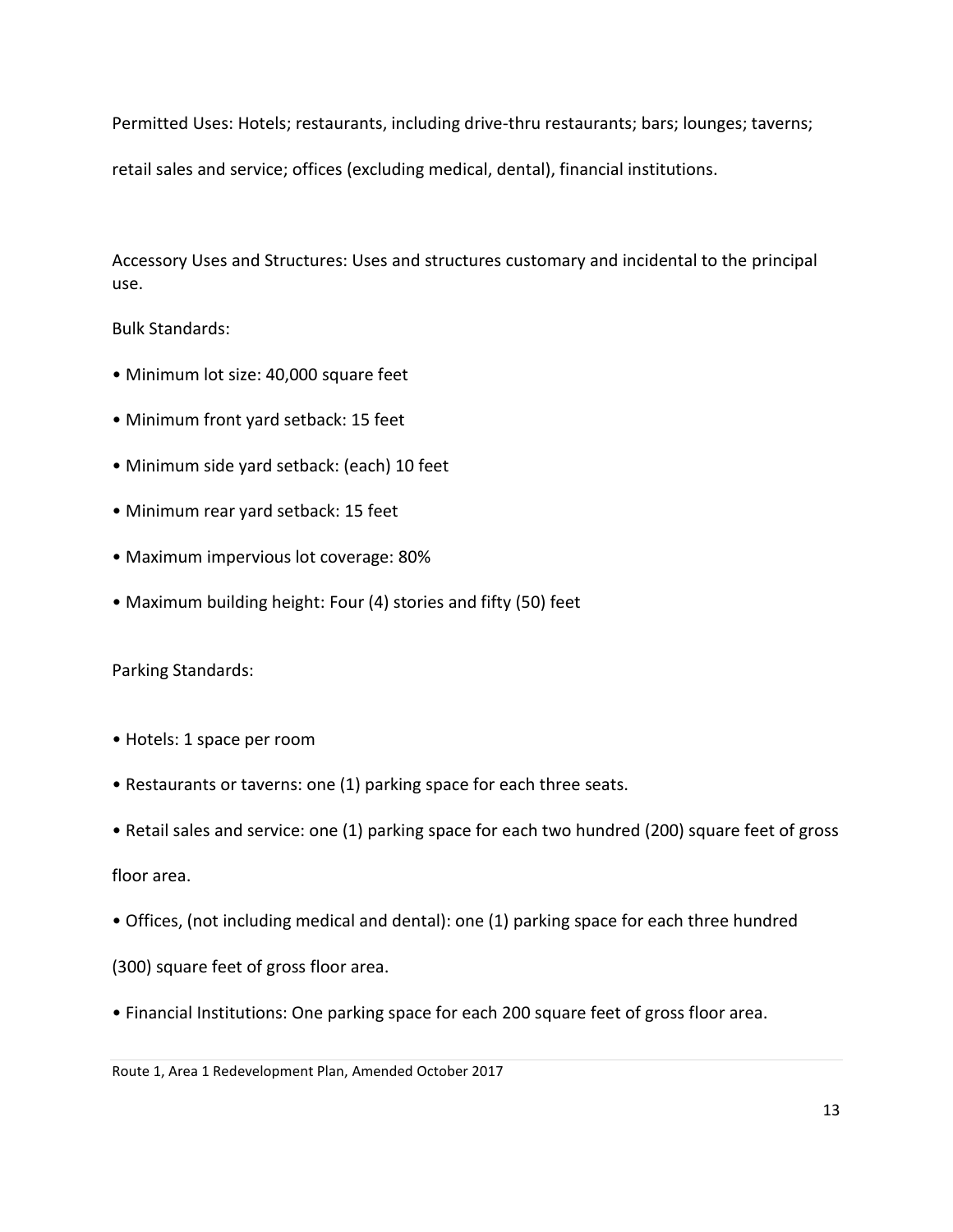Permitted Uses: Hotels; restaurants, including drive-thru restaurants; bars; lounges; taverns;

retail sales and service; offices (excluding medical, dental), financial institutions.

Accessory Uses and Structures: Uses and structures customary and incidental to the principal use.

Bulk Standards:

- Minimum lot size: 40,000 square feet
- Minimum front yard setback: 15 feet
- Minimum side yard setback: (each) 10 feet
- Minimum rear yard setback: 15 feet
- Maximum impervious lot coverage: 80%
- Maximum building height: Four (4) stories and fifty (50) feet

Parking Standards:

- Hotels: 1 space per room
- Restaurants or taverns: one (1) parking space for each three seats.
- Retail sales and service: one (1) parking space for each two hundred (200) square feet of gross

floor area.

• Offices, (not including medical and dental): one (1) parking space for each three hundred

(300) square feet of gross floor area.

• Financial Institutions: One parking space for each 200 square feet of gross floor area.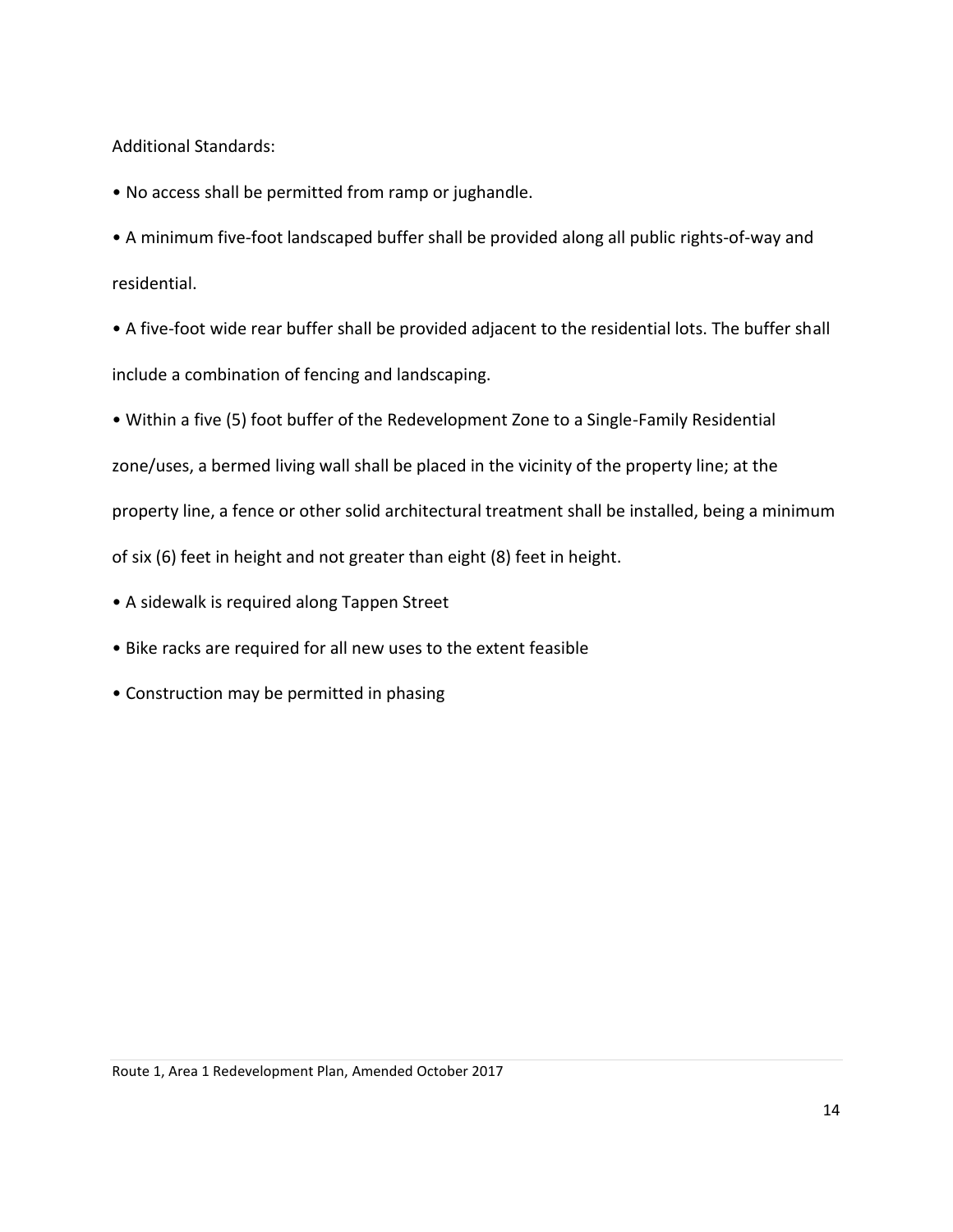Additional Standards:

- No access shall be permitted from ramp or jughandle.
- A minimum five-foot landscaped buffer shall be provided along all public rights-of-way and residential.
- A five-foot wide rear buffer shall be provided adjacent to the residential lots. The buffer shall include a combination of fencing and landscaping.
- Within a five (5) foot buffer of the Redevelopment Zone to a Single-Family Residential
- zone/uses, a bermed living wall shall be placed in the vicinity of the property line; at the

property line, a fence or other solid architectural treatment shall be installed, being a minimum

of six (6) feet in height and not greater than eight (8) feet in height.

- A sidewalk is required along Tappen Street
- Bike racks are required for all new uses to the extent feasible
- <span id="page-16-0"></span>• Construction may be permitted in phasing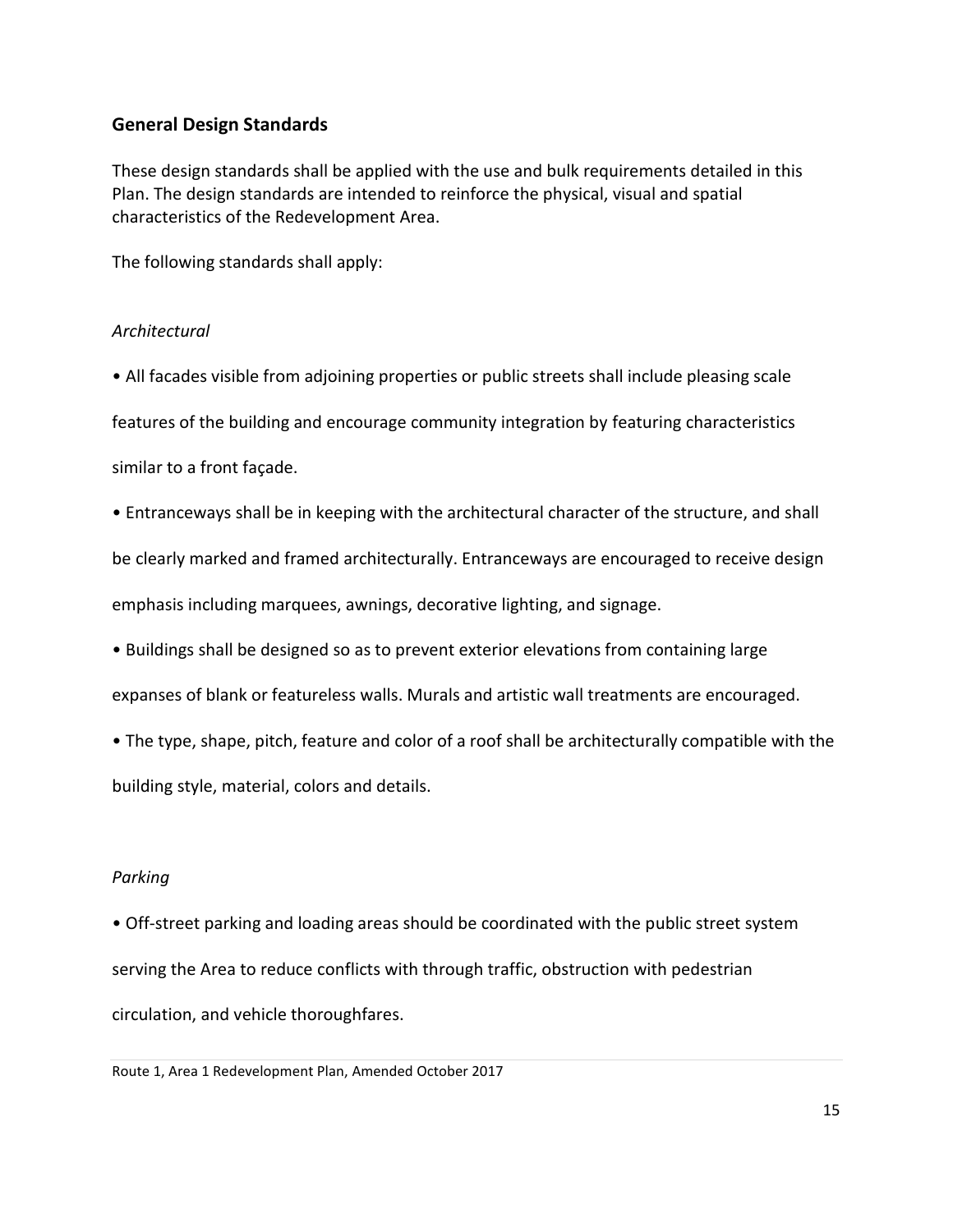#### **General Design Standards**

These design standards shall be applied with the use and bulk requirements detailed in this Plan. The design standards are intended to reinforce the physical, visual and spatial characteristics of the Redevelopment Area.

The following standards shall apply:

#### *Architectural*

• All facades visible from adjoining properties or public streets shall include pleasing scale features of the building and encourage community integration by featuring characteristics similar to a front façade.

• Entranceways shall be in keeping with the architectural character of the structure, and shall be clearly marked and framed architecturally. Entranceways are encouraged to receive design emphasis including marquees, awnings, decorative lighting, and signage.

• Buildings shall be designed so as to prevent exterior elevations from containing large

expanses of blank or featureless walls. Murals and artistic wall treatments are encouraged.

• The type, shape, pitch, feature and color of a roof shall be architecturally compatible with the building style, material, colors and details.

### *Parking*

• Off-street parking and loading areas should be coordinated with the public street system serving the Area to reduce conflicts with through traffic, obstruction with pedestrian circulation, and vehicle thoroughfares.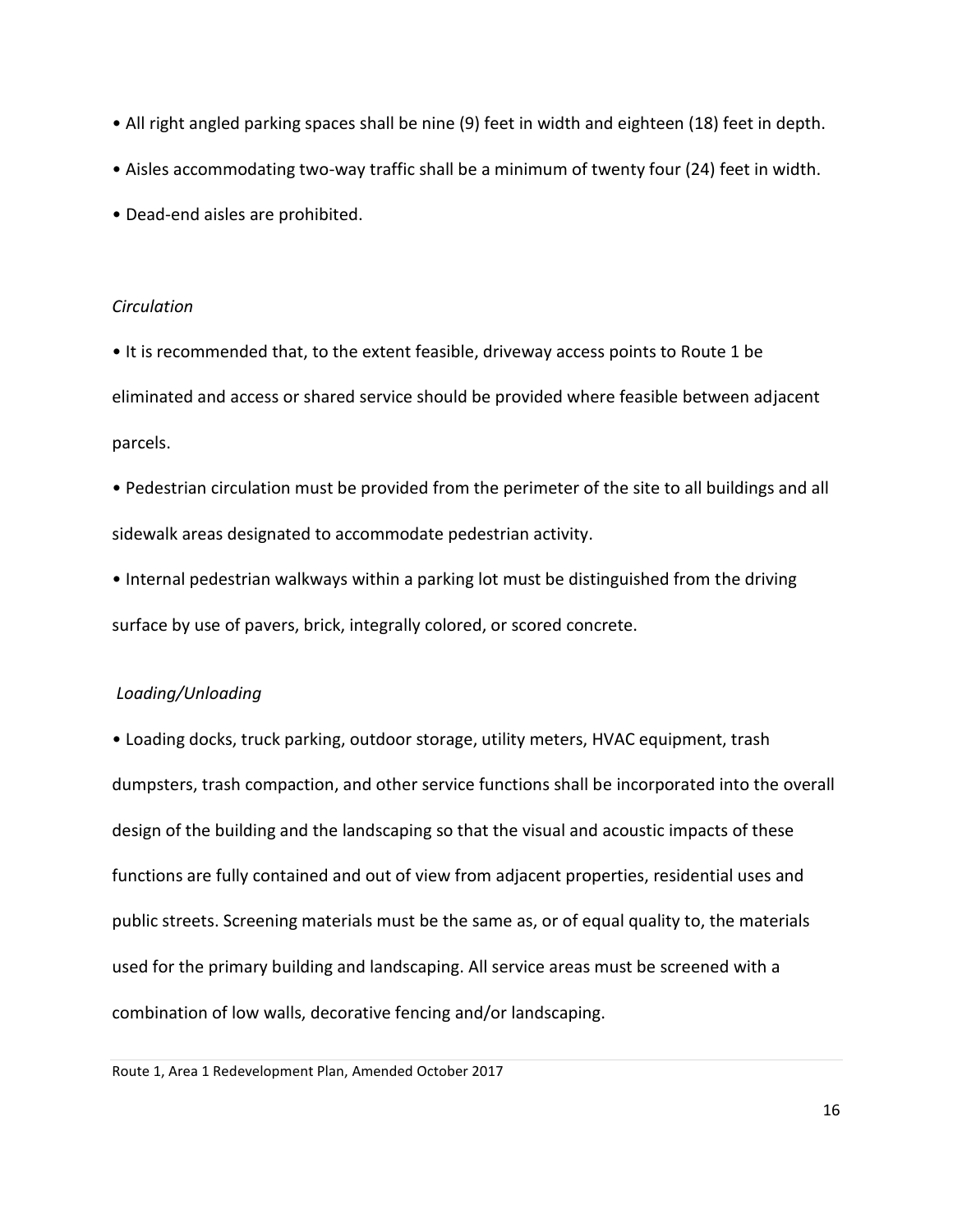- All right angled parking spaces shall be nine (9) feet in width and eighteen (18) feet in depth.
- Aisles accommodating two-way traffic shall be a minimum of twenty four (24) feet in width.
- Dead-end aisles are prohibited.

#### *Circulation*

• It is recommended that, to the extent feasible, driveway access points to Route 1 be eliminated and access or shared service should be provided where feasible between adjacent parcels.

• Pedestrian circulation must be provided from the perimeter of the site to all buildings and all sidewalk areas designated to accommodate pedestrian activity.

• Internal pedestrian walkways within a parking lot must be distinguished from the driving surface by use of pavers, brick, integrally colored, or scored concrete.

#### *Loading/Unloading*

• Loading docks, truck parking, outdoor storage, utility meters, HVAC equipment, trash dumpsters, trash compaction, and other service functions shall be incorporated into the overall design of the building and the landscaping so that the visual and acoustic impacts of these functions are fully contained and out of view from adjacent properties, residential uses and public streets. Screening materials must be the same as, or of equal quality to, the materials used for the primary building and landscaping. All service areas must be screened with a combination of low walls, decorative fencing and/or landscaping.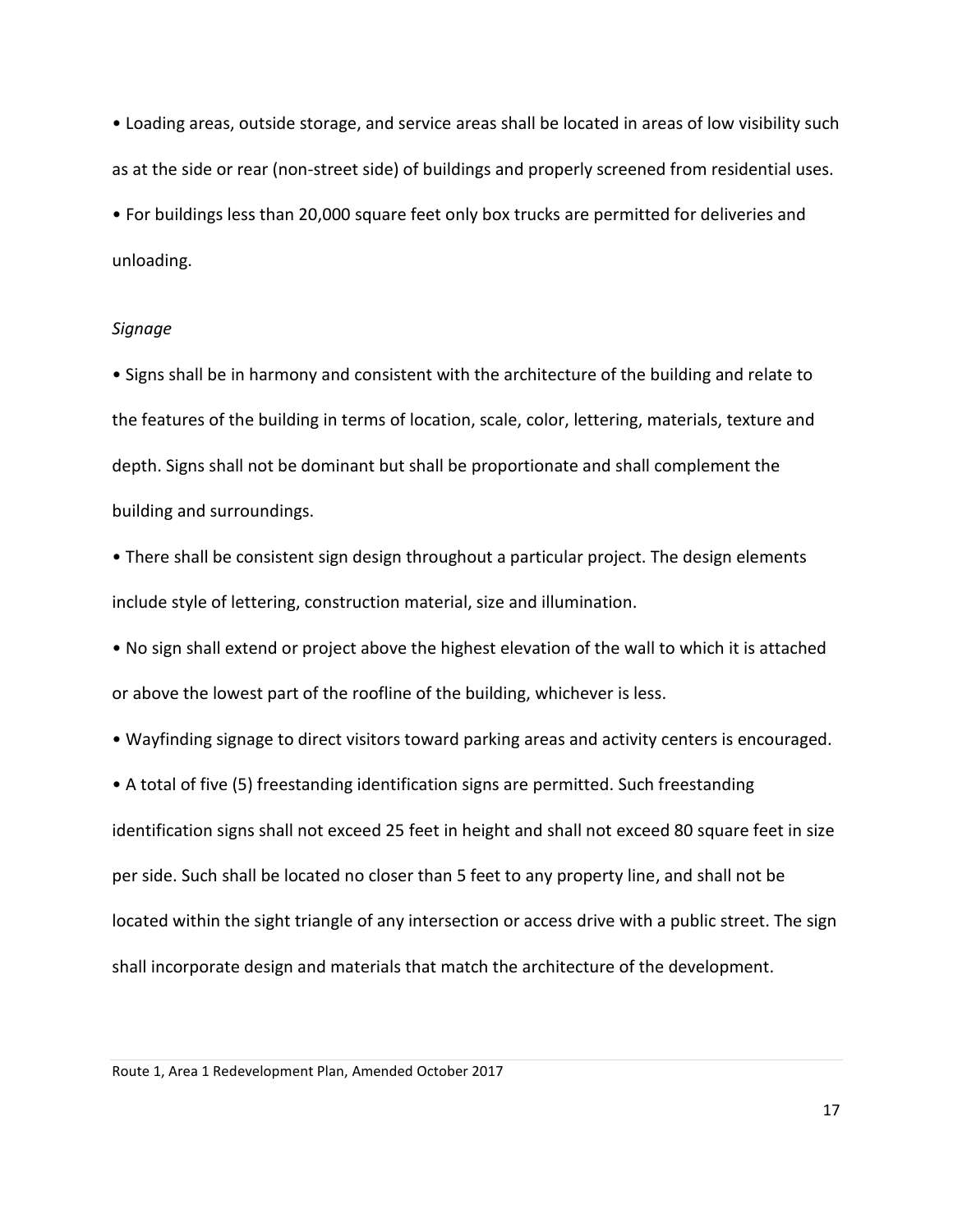• Loading areas, outside storage, and service areas shall be located in areas of low visibility such as at the side or rear (non-street side) of buildings and properly screened from residential uses.

• For buildings less than 20,000 square feet only box trucks are permitted for deliveries and unloading.

#### *Signage*

• Signs shall be in harmony and consistent with the architecture of the building and relate to the features of the building in terms of location, scale, color, lettering, materials, texture and depth. Signs shall not be dominant but shall be proportionate and shall complement the building and surroundings.

• There shall be consistent sign design throughout a particular project. The design elements include style of lettering, construction material, size and illumination.

• No sign shall extend or project above the highest elevation of the wall to which it is attached or above the lowest part of the roofline of the building, whichever is less.

• Wayfinding signage to direct visitors toward parking areas and activity centers is encouraged.

• A total of five (5) freestanding identification signs are permitted. Such freestanding identification signs shall not exceed 25 feet in height and shall not exceed 80 square feet in size per side. Such shall be located no closer than 5 feet to any property line, and shall not be located within the sight triangle of any intersection or access drive with a public street. The sign shall incorporate design and materials that match the architecture of the development.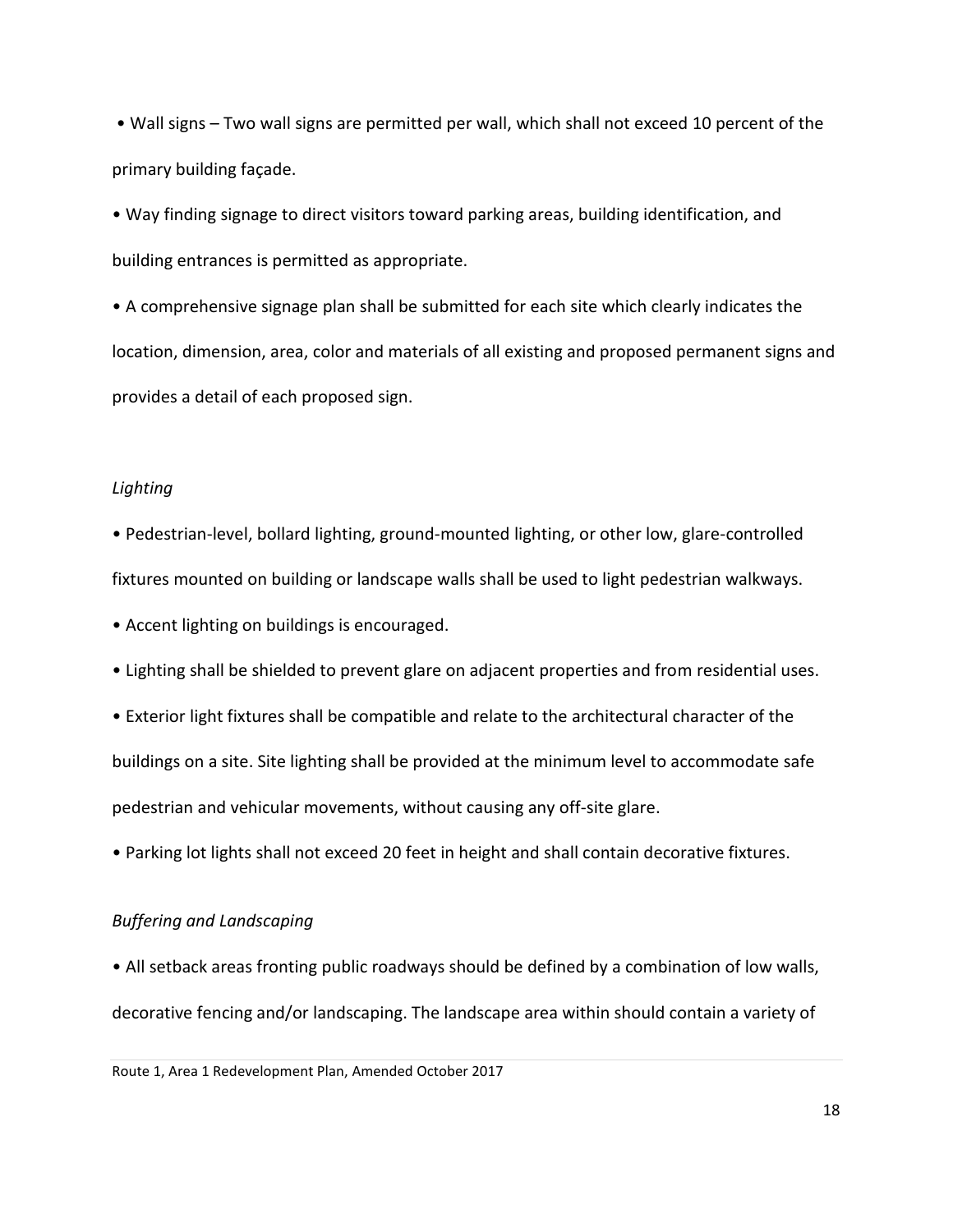• Wall signs – Two wall signs are permitted per wall, which shall not exceed 10 percent of the primary building façade.

• Way finding signage to direct visitors toward parking areas, building identification, and building entrances is permitted as appropriate.

• A comprehensive signage plan shall be submitted for each site which clearly indicates the location, dimension, area, color and materials of all existing and proposed permanent signs and provides a detail of each proposed sign.

#### *Lighting*

• Pedestrian-level, bollard lighting, ground-mounted lighting, or other low, glare-controlled fixtures mounted on building or landscape walls shall be used to light pedestrian walkways.

- Accent lighting on buildings is encouraged.
- Lighting shall be shielded to prevent glare on adjacent properties and from residential uses.

• Exterior light fixtures shall be compatible and relate to the architectural character of the buildings on a site. Site lighting shall be provided at the minimum level to accommodate safe pedestrian and vehicular movements, without causing any off-site glare.

• Parking lot lights shall not exceed 20 feet in height and shall contain decorative fixtures.

#### *Buffering and Landscaping*

• All setback areas fronting public roadways should be defined by a combination of low walls, decorative fencing and/or landscaping. The landscape area within should contain a variety of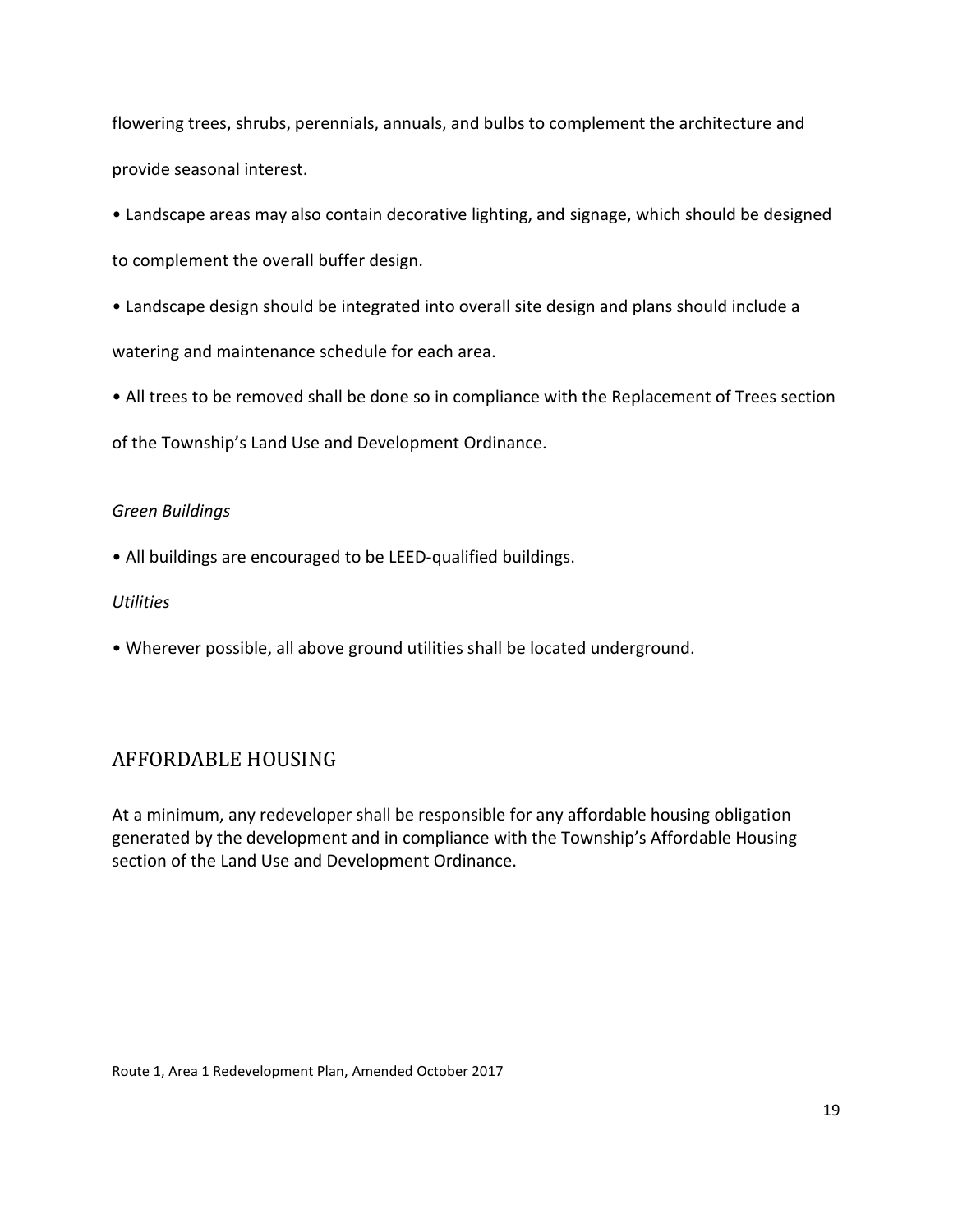flowering trees, shrubs, perennials, annuals, and bulbs to complement the architecture and provide seasonal interest.

• Landscape areas may also contain decorative lighting, and signage, which should be designed to complement the overall buffer design.

• Landscape design should be integrated into overall site design and plans should include a

watering and maintenance schedule for each area.

• All trees to be removed shall be done so in compliance with the Replacement of Trees section of the Township's Land Use and Development Ordinance.

#### *Green Buildings*

• All buildings are encouraged to be LEED-qualified buildings.

#### *Utilities*

• Wherever possible, all above ground utilities shall be located underground.

# <span id="page-21-0"></span>AFFORDABLE HOUSING

At a minimum, any redeveloper shall be responsible for any affordable housing obligation generated by the development and in compliance with the Township's Affordable Housing section of the Land Use and Development Ordinance.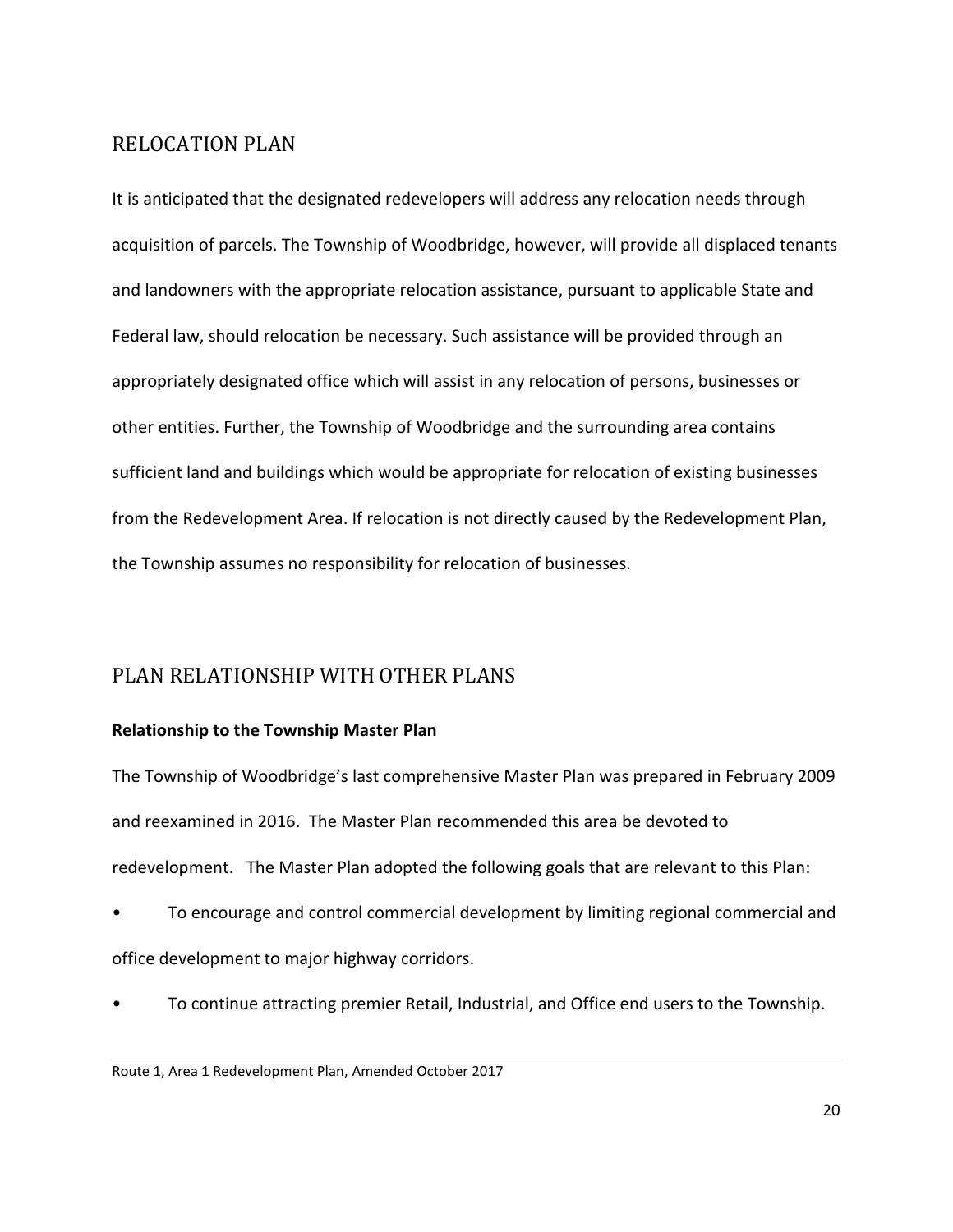# <span id="page-22-0"></span>RELOCATION PLAN

It is anticipated that the designated redevelopers will address any relocation needs through acquisition of parcels. The Township of Woodbridge, however, will provide all displaced tenants and landowners with the appropriate relocation assistance, pursuant to applicable State and Federal law, should relocation be necessary. Such assistance will be provided through an appropriately designated office which will assist in any relocation of persons, businesses or other entities. Further, the Township of Woodbridge and the surrounding area contains sufficient land and buildings which would be appropriate for relocation of existing businesses from the Redevelopment Area. If relocation is not directly caused by the Redevelopment Plan, the Township assumes no responsibility for relocation of businesses.

# <span id="page-22-1"></span>PLAN RELATIONSHIP WITH OTHER PLANS

#### **Relationship to the Township Master Plan**

The Township of Woodbridge's last comprehensive Master Plan was prepared in February 2009 and reexamined in 2016. The Master Plan recommended this area be devoted to redevelopment. The Master Plan adopted the following goals that are relevant to this Plan:

- To encourage and control commercial development by limiting regional commercial and office development to major highway corridors.
- To continue attracting premier Retail, Industrial, and Office end users to the Township.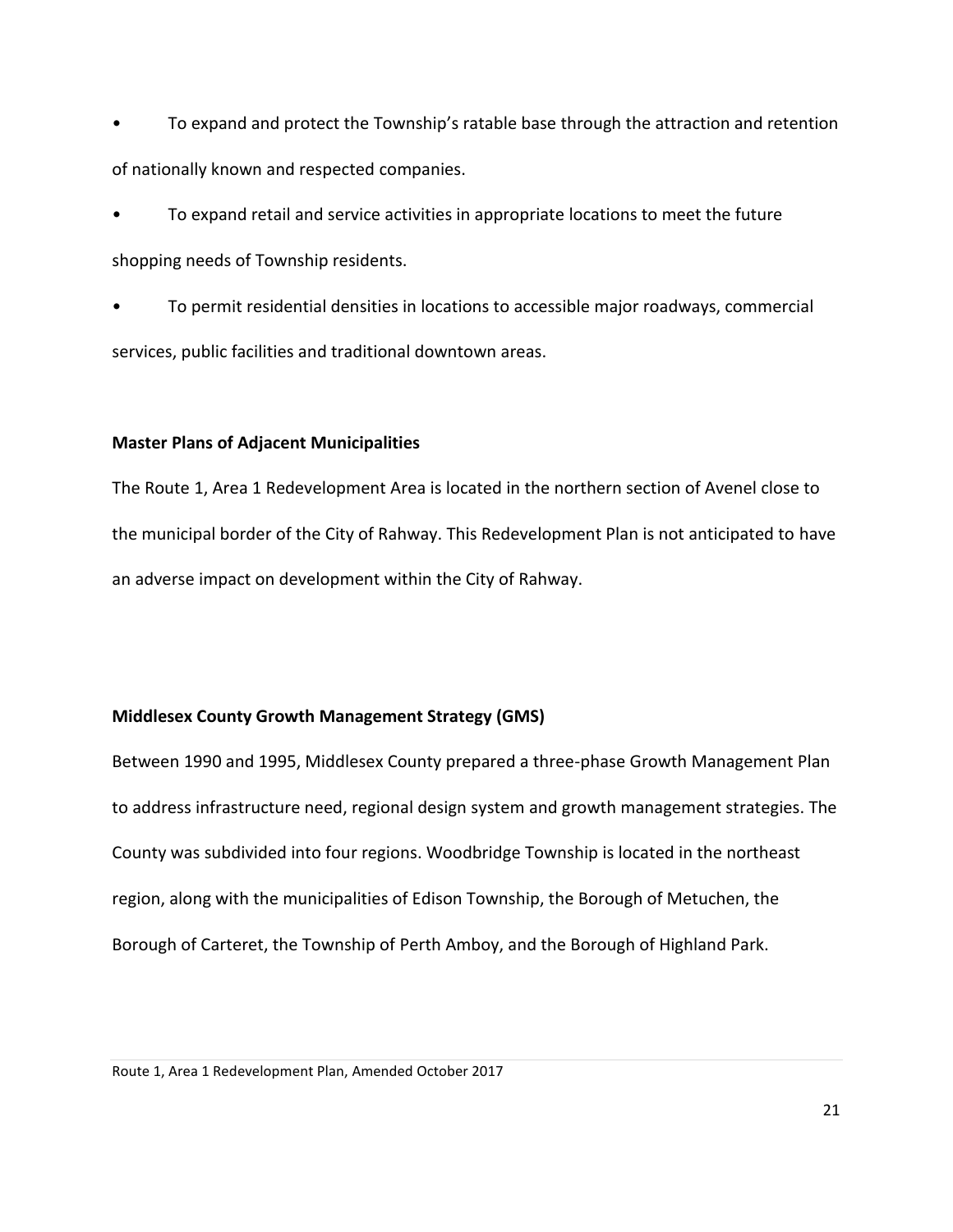• To expand and protect the Township's ratable base through the attraction and retention of nationally known and respected companies.

• To expand retail and service activities in appropriate locations to meet the future shopping needs of Township residents.

• To permit residential densities in locations to accessible major roadways, commercial services, public facilities and traditional downtown areas.

#### **Master Plans of Adjacent Municipalities**

The Route 1, Area 1 Redevelopment Area is located in the northern section of Avenel close to the municipal border of the City of Rahway. This Redevelopment Plan is not anticipated to have an adverse impact on development within the City of Rahway.

#### **Middlesex County Growth Management Strategy (GMS)**

Between 1990 and 1995, Middlesex County prepared a three-phase Growth Management Plan to address infrastructure need, regional design system and growth management strategies. The County was subdivided into four regions. Woodbridge Township is located in the northeast region, along with the municipalities of Edison Township, the Borough of Metuchen, the Borough of Carteret, the Township of Perth Amboy, and the Borough of Highland Park.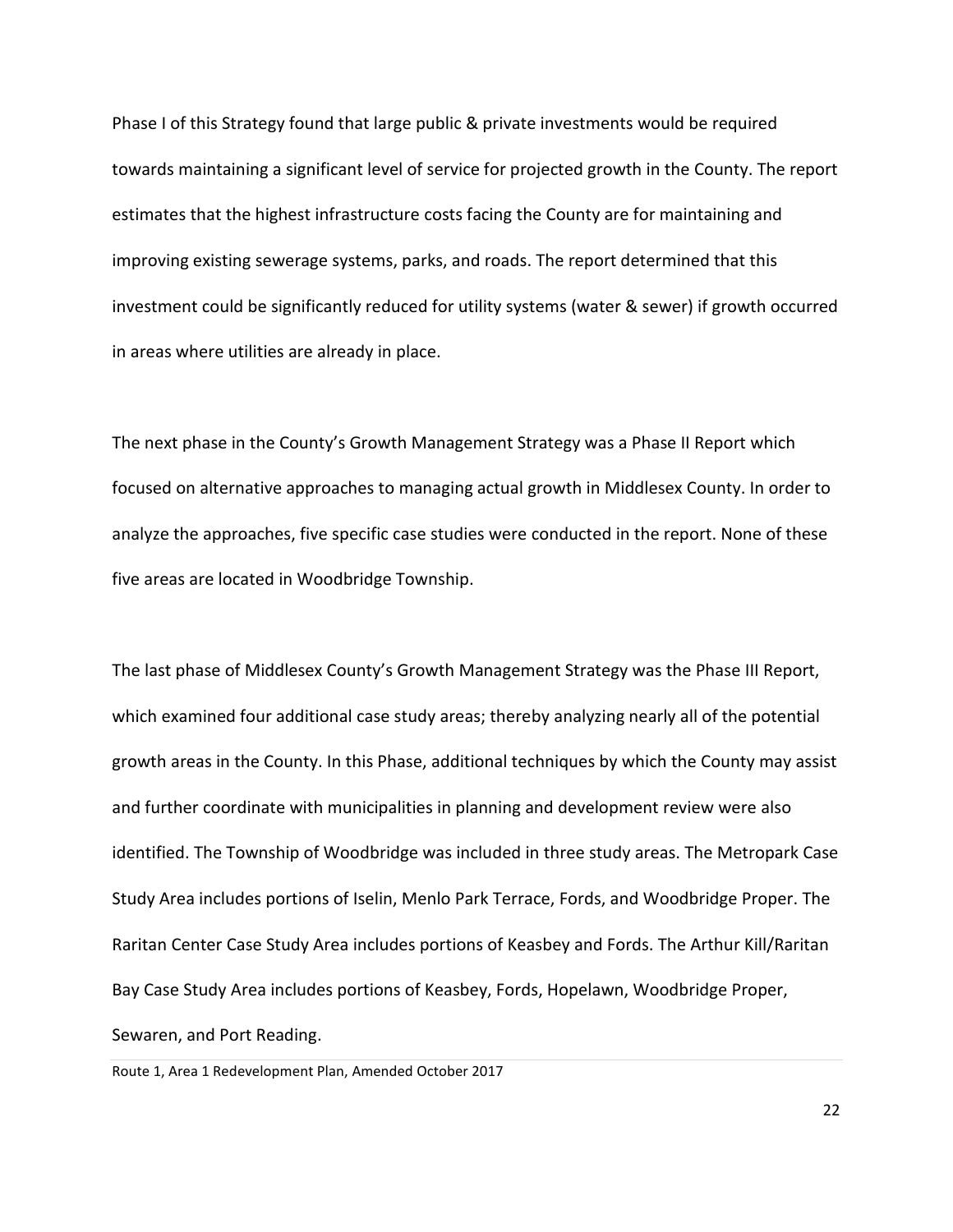Phase I of this Strategy found that large public & private investments would be required towards maintaining a significant level of service for projected growth in the County. The report estimates that the highest infrastructure costs facing the County are for maintaining and improving existing sewerage systems, parks, and roads. The report determined that this investment could be significantly reduced for utility systems (water & sewer) if growth occurred in areas where utilities are already in place.

The next phase in the County's Growth Management Strategy was a Phase II Report which focused on alternative approaches to managing actual growth in Middlesex County. In order to analyze the approaches, five specific case studies were conducted in the report. None of these five areas are located in Woodbridge Township.

The last phase of Middlesex County's Growth Management Strategy was the Phase III Report, which examined four additional case study areas; thereby analyzing nearly all of the potential growth areas in the County. In this Phase, additional techniques by which the County may assist and further coordinate with municipalities in planning and development review were also identified. The Township of Woodbridge was included in three study areas. The Metropark Case Study Area includes portions of Iselin, Menlo Park Terrace, Fords, and Woodbridge Proper. The Raritan Center Case Study Area includes portions of Keasbey and Fords. The Arthur Kill/Raritan Bay Case Study Area includes portions of Keasbey, Fords, Hopelawn, Woodbridge Proper, Sewaren, and Port Reading.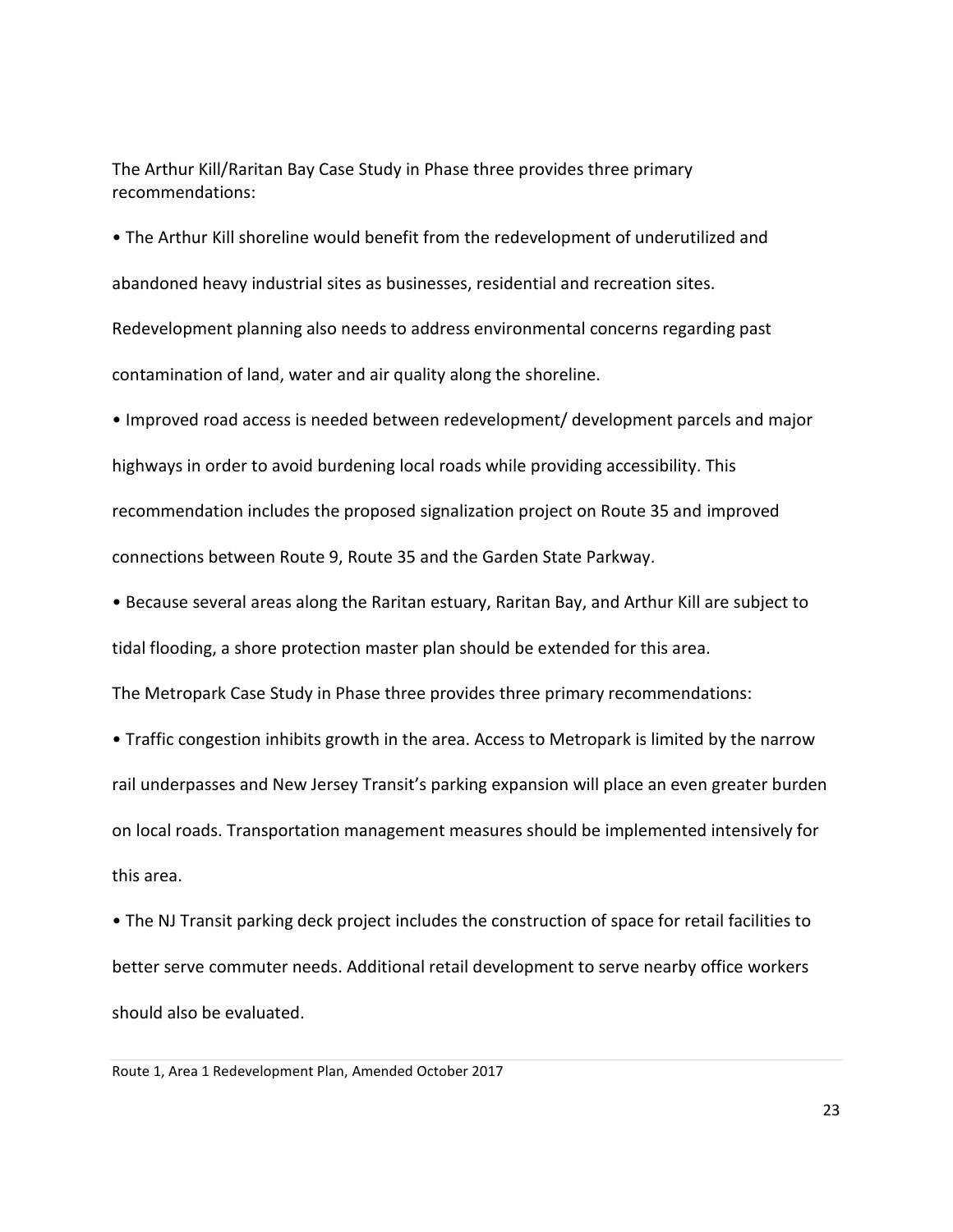The Arthur Kill/Raritan Bay Case Study in Phase three provides three primary recommendations:

• The Arthur Kill shoreline would benefit from the redevelopment of underutilized and abandoned heavy industrial sites as businesses, residential and recreation sites. Redevelopment planning also needs to address environmental concerns regarding past contamination of land, water and air quality along the shoreline.

• Improved road access is needed between redevelopment/ development parcels and major highways in order to avoid burdening local roads while providing accessibility. This recommendation includes the proposed signalization project on Route 35 and improved connections between Route 9, Route 35 and the Garden State Parkway.

• Because several areas along the Raritan estuary, Raritan Bay, and Arthur Kill are subject to tidal flooding, a shore protection master plan should be extended for this area.

The Metropark Case Study in Phase three provides three primary recommendations:

• Traffic congestion inhibits growth in the area. Access to Metropark is limited by the narrow rail underpasses and New Jersey Transit's parking expansion will place an even greater burden on local roads. Transportation management measures should be implemented intensively for this area.

• The NJ Transit parking deck project includes the construction of space for retail facilities to better serve commuter needs. Additional retail development to serve nearby office workers should also be evaluated.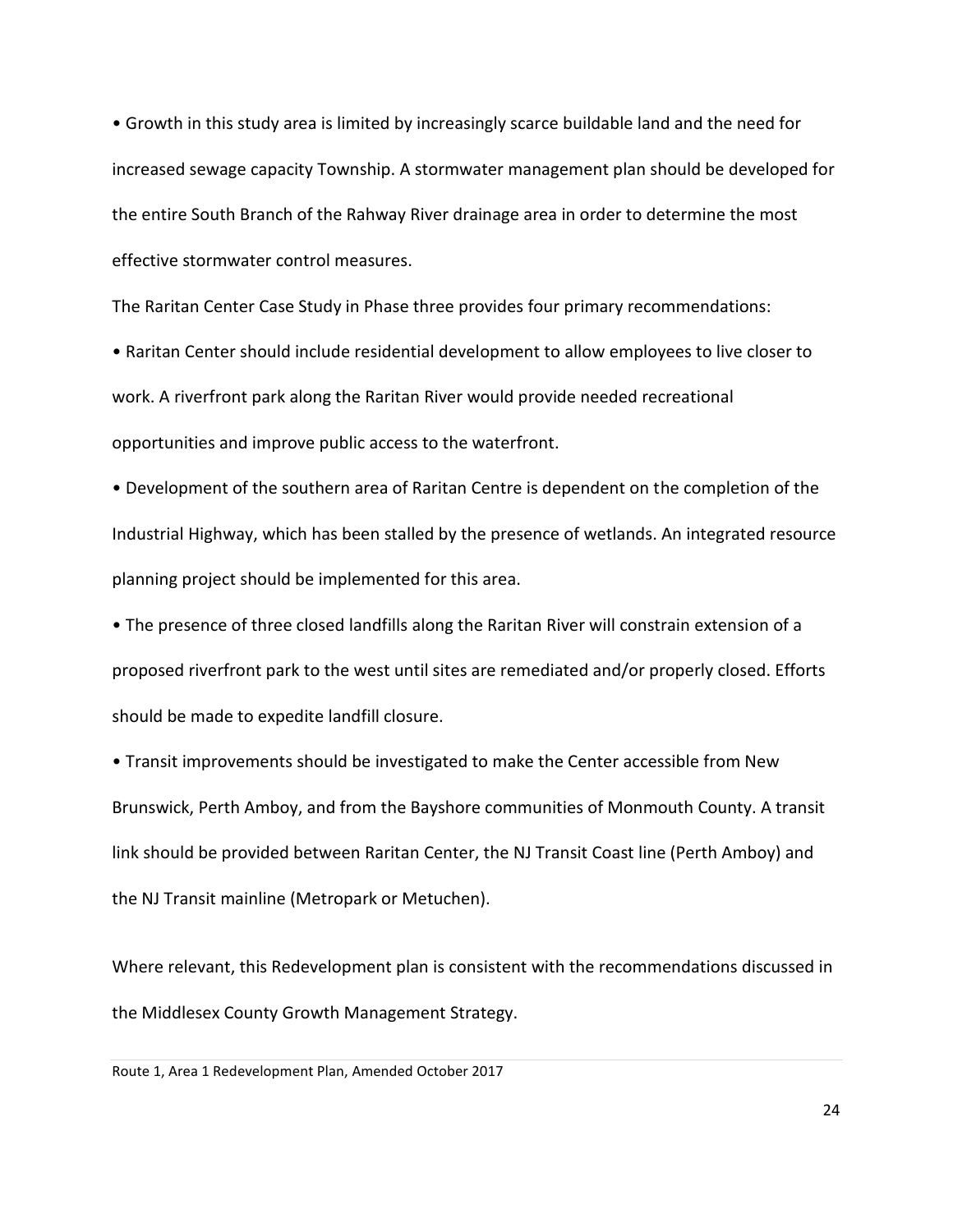• Growth in this study area is limited by increasingly scarce buildable land and the need for increased sewage capacity Township. A stormwater management plan should be developed for the entire South Branch of the Rahway River drainage area in order to determine the most effective stormwater control measures.

The Raritan Center Case Study in Phase three provides four primary recommendations:

• Raritan Center should include residential development to allow employees to live closer to work. A riverfront park along the Raritan River would provide needed recreational opportunities and improve public access to the waterfront.

• Development of the southern area of Raritan Centre is dependent on the completion of the Industrial Highway, which has been stalled by the presence of wetlands. An integrated resource planning project should be implemented for this area.

• The presence of three closed landfills along the Raritan River will constrain extension of a proposed riverfront park to the west until sites are remediated and/or properly closed. Efforts should be made to expedite landfill closure.

• Transit improvements should be investigated to make the Center accessible from New Brunswick, Perth Amboy, and from the Bayshore communities of Monmouth County. A transit link should be provided between Raritan Center, the NJ Transit Coast line (Perth Amboy) and the NJ Transit mainline (Metropark or Metuchen).

Where relevant, this Redevelopment plan is consistent with the recommendations discussed in the Middlesex County Growth Management Strategy.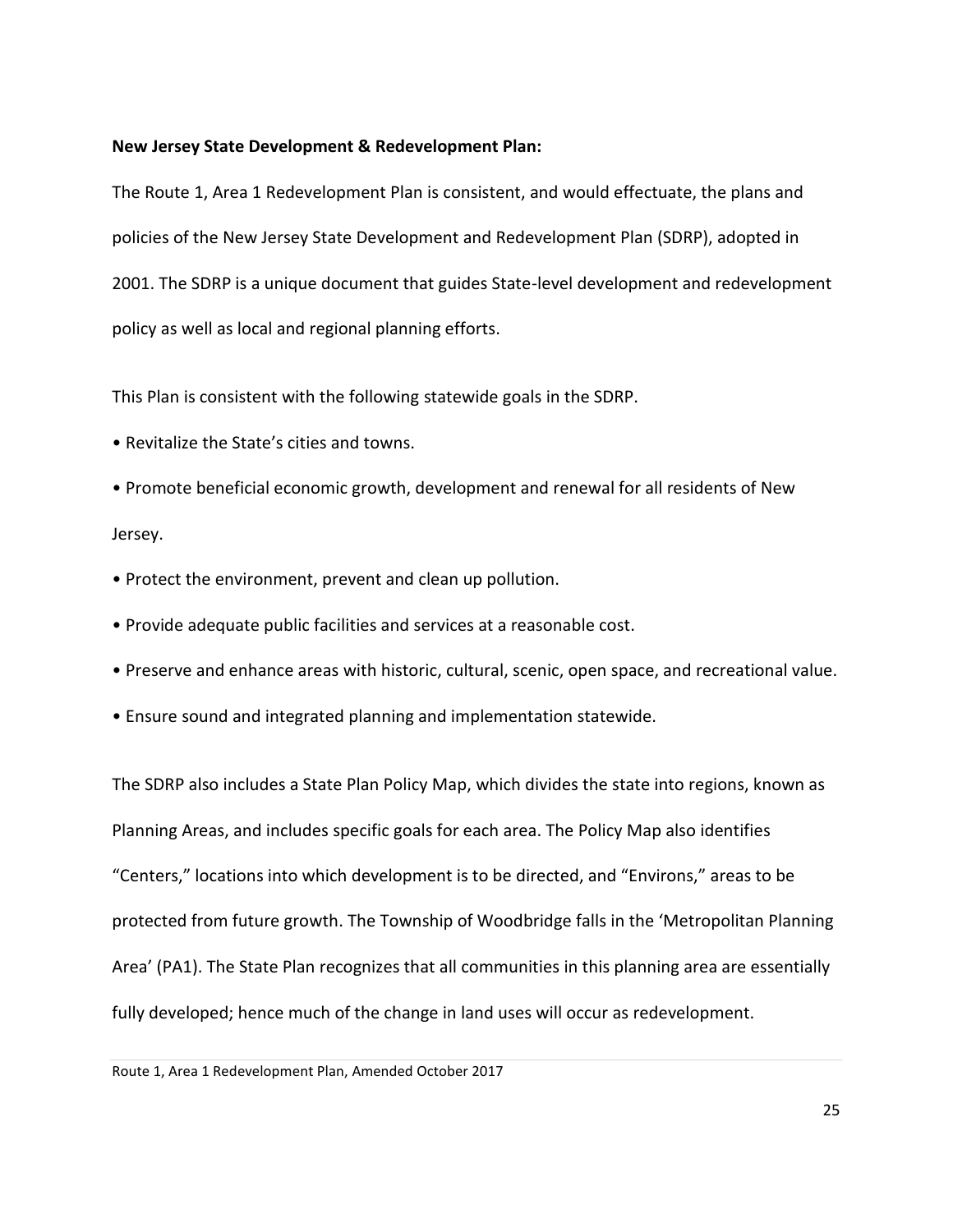#### **New Jersey State Development & Redevelopment Plan:**

The Route 1, Area 1 Redevelopment Plan is consistent, and would effectuate, the plans and policies of the New Jersey State Development and Redevelopment Plan (SDRP), adopted in 2001. The SDRP is a unique document that guides State-level development and redevelopment policy as well as local and regional planning efforts.

This Plan is consistent with the following statewide goals in the SDRP.

- Revitalize the State's cities and towns.
- Promote beneficial economic growth, development and renewal for all residents of New Jersey.
- Protect the environment, prevent and clean up pollution.
- Provide adequate public facilities and services at a reasonable cost.
- Preserve and enhance areas with historic, cultural, scenic, open space, and recreational value.
- Ensure sound and integrated planning and implementation statewide.

The SDRP also includes a State Plan Policy Map, which divides the state into regions, known as Planning Areas, and includes specific goals for each area. The Policy Map also identifies "Centers," locations into which development is to be directed, and "Environs," areas to be protected from future growth. The Township of Woodbridge falls in the 'Metropolitan Planning Area' (PA1). The State Plan recognizes that all communities in this planning area are essentially fully developed; hence much of the change in land uses will occur as redevelopment.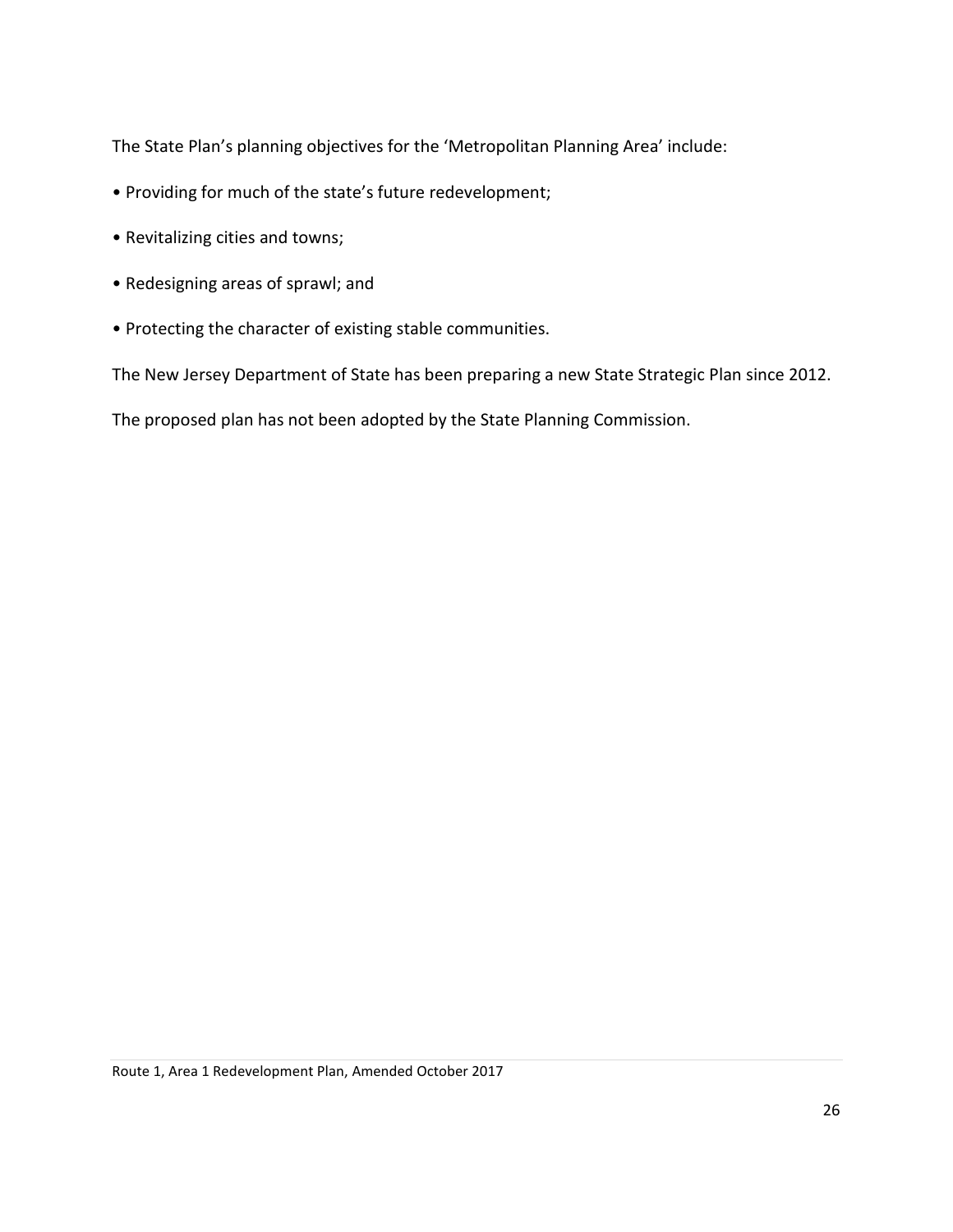The State Plan's planning objectives for the 'Metropolitan Planning Area' include:

- Providing for much of the state's future redevelopment;
- Revitalizing cities and towns;
- Redesigning areas of sprawl; and
- Protecting the character of existing stable communities.

The New Jersey Department of State has been preparing a new State Strategic Plan since 2012.

The proposed plan has not been adopted by the State Planning Commission.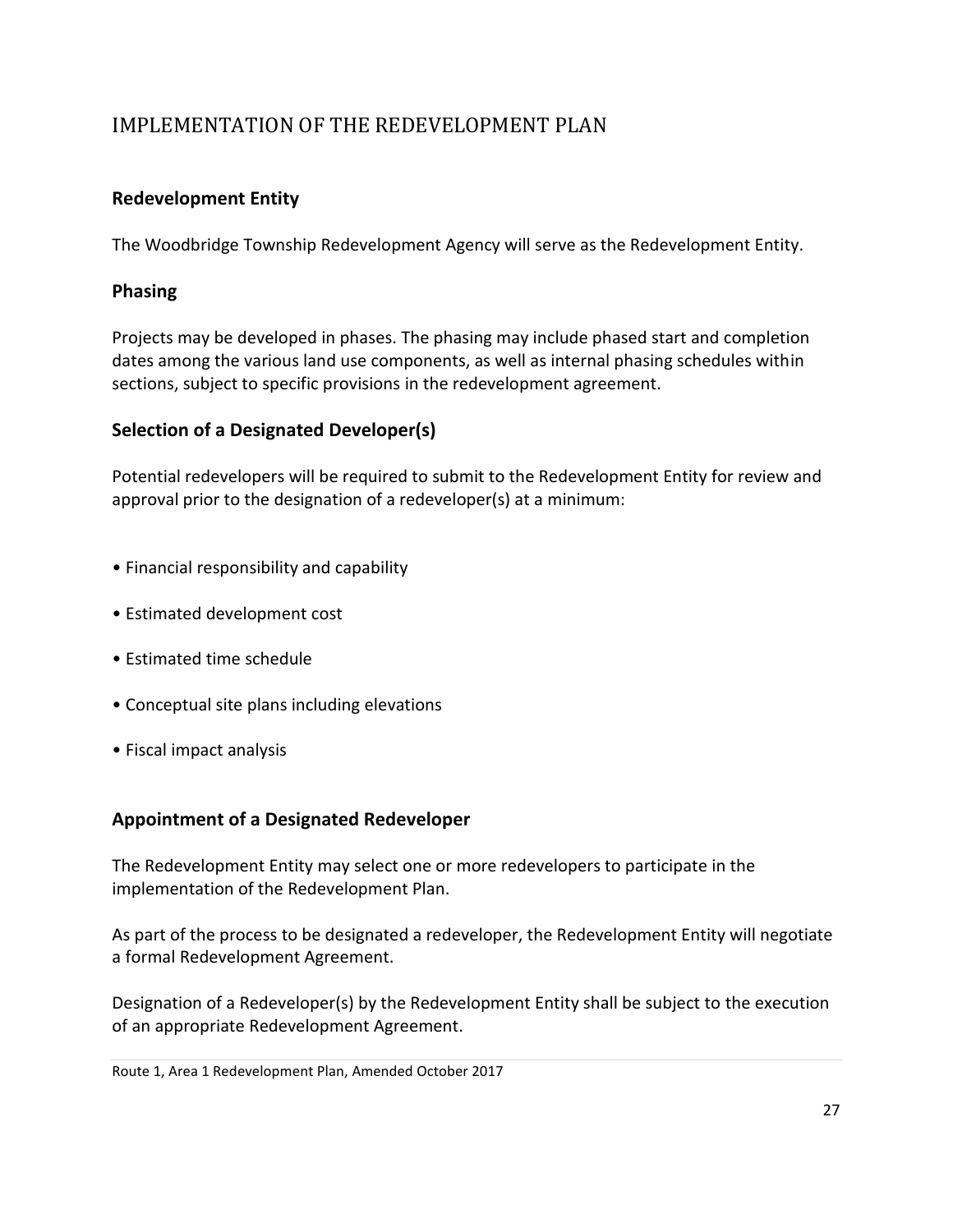# IMPLEMENTATION OF THE REDEVELOPMENT PLAN

## <span id="page-29-0"></span>**Redevelopment Entity**

The Woodbridge Township Redevelopment Agency will serve as the Redevelopment Entity.

#### <span id="page-29-1"></span>**Phasing**

Projects may be developed in phases. The phasing may include phased start and completion dates among the various land use components, as well as internal phasing schedules within sections, subject to specific provisions in the redevelopment agreement.

## <span id="page-29-2"></span>**Selection of a Designated Developer(s)**

Potential redevelopers will be required to submit to the Redevelopment Entity for review and approval prior to the designation of a redeveloper(s) at a minimum:

- Financial responsibility and capability
- Estimated development cost
- Estimated time schedule
- Conceptual site plans including elevations
- Fiscal impact analysis

### <span id="page-29-3"></span>**Appointment of a Designated Redeveloper**

The Redevelopment Entity may select one or more redevelopers to participate in the implementation of the Redevelopment Plan.

As part of the process to be designated a redeveloper, the Redevelopment Entity will negotiate a formal Redevelopment Agreement.

Designation of a Redeveloper(s) by the Redevelopment Entity shall be subject to the execution of an appropriate Redevelopment Agreement.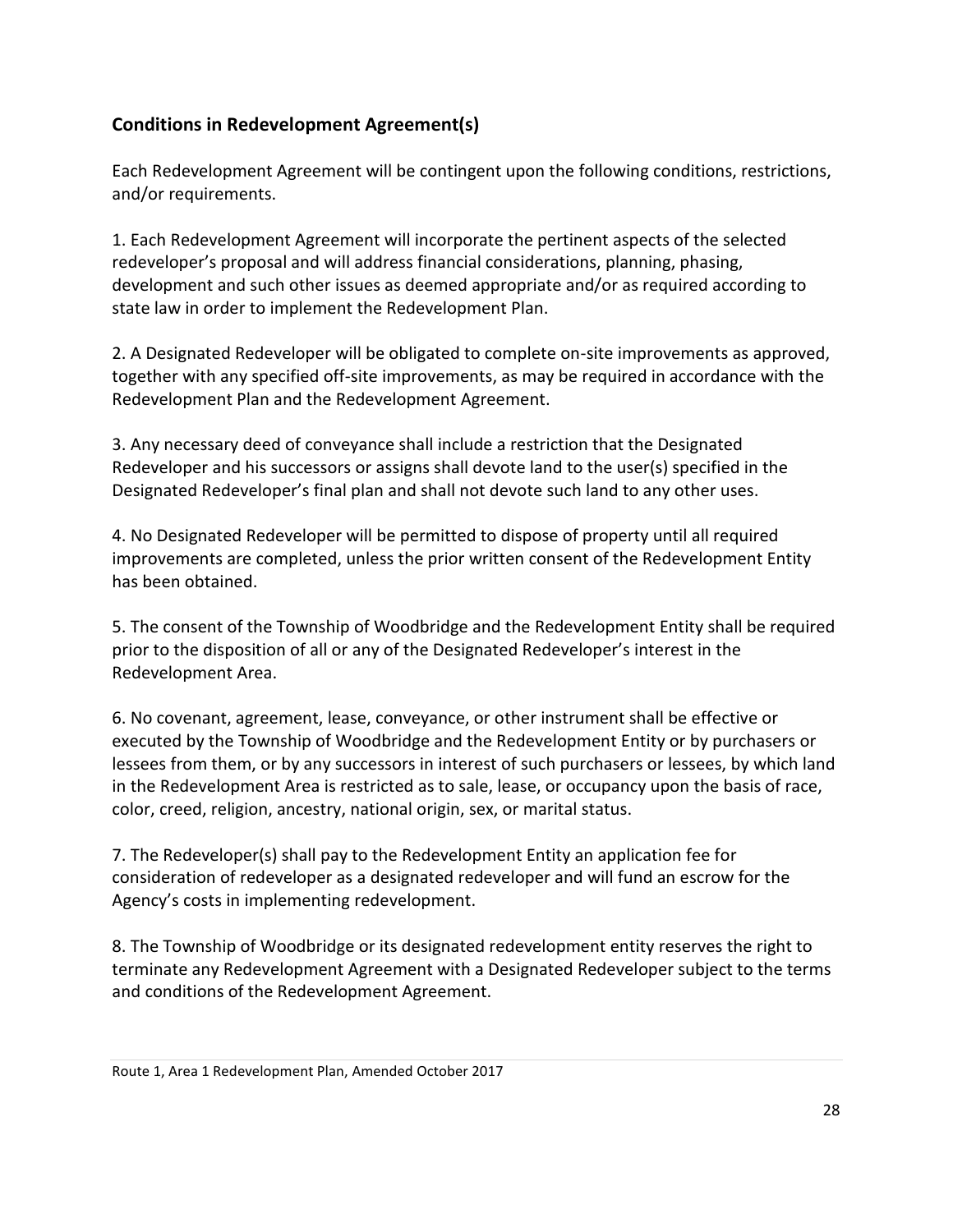# <span id="page-30-0"></span>**Conditions in Redevelopment Agreement(s)**

Each Redevelopment Agreement will be contingent upon the following conditions, restrictions, and/or requirements.

1. Each Redevelopment Agreement will incorporate the pertinent aspects of the selected redeveloper's proposal and will address financial considerations, planning, phasing, development and such other issues as deemed appropriate and/or as required according to state law in order to implement the Redevelopment Plan.

2. A Designated Redeveloper will be obligated to complete on-site improvements as approved, together with any specified off-site improvements, as may be required in accordance with the Redevelopment Plan and the Redevelopment Agreement.

3. Any necessary deed of conveyance shall include a restriction that the Designated Redeveloper and his successors or assigns shall devote land to the user(s) specified in the Designated Redeveloper's final plan and shall not devote such land to any other uses.

4. No Designated Redeveloper will be permitted to dispose of property until all required improvements are completed, unless the prior written consent of the Redevelopment Entity has been obtained.

5. The consent of the Township of Woodbridge and the Redevelopment Entity shall be required prior to the disposition of all or any of the Designated Redeveloper's interest in the Redevelopment Area.

6. No covenant, agreement, lease, conveyance, or other instrument shall be effective or executed by the Township of Woodbridge and the Redevelopment Entity or by purchasers or lessees from them, or by any successors in interest of such purchasers or lessees, by which land in the Redevelopment Area is restricted as to sale, lease, or occupancy upon the basis of race, color, creed, religion, ancestry, national origin, sex, or marital status.

7. The Redeveloper(s) shall pay to the Redevelopment Entity an application fee for consideration of redeveloper as a designated redeveloper and will fund an escrow for the Agency's costs in implementing redevelopment.

8. The Township of Woodbridge or its designated redevelopment entity reserves the right to terminate any Redevelopment Agreement with a Designated Redeveloper subject to the terms and conditions of the Redevelopment Agreement.